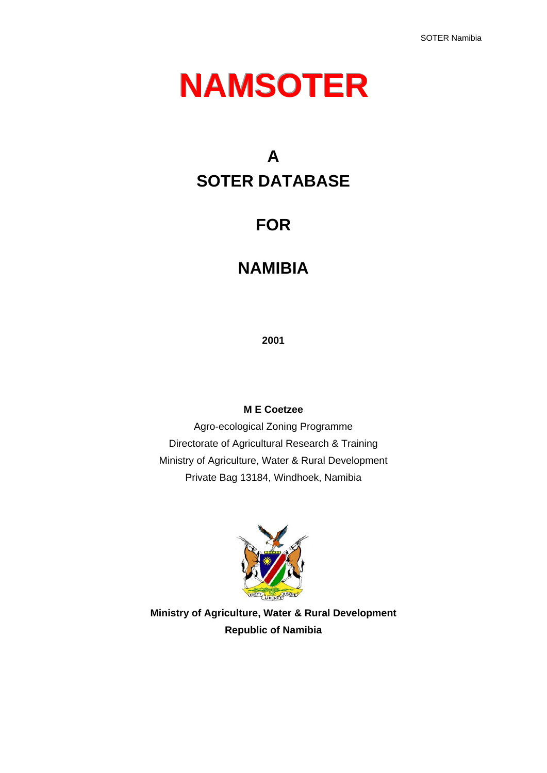# **NAMSOTER**

# **A SOTER DATABASE**

# **FOR**

# **NAMIBIA**

**2001** 

### **M E Coetzee**

Agro-ecological Zoning Programme Directorate of Agricultural Research & Training Ministry of Agriculture, Water & Rural Development Private Bag 13184, Windhoek, Namibia



**Ministry of Agriculture, Water & Rural Development Republic of Namibia**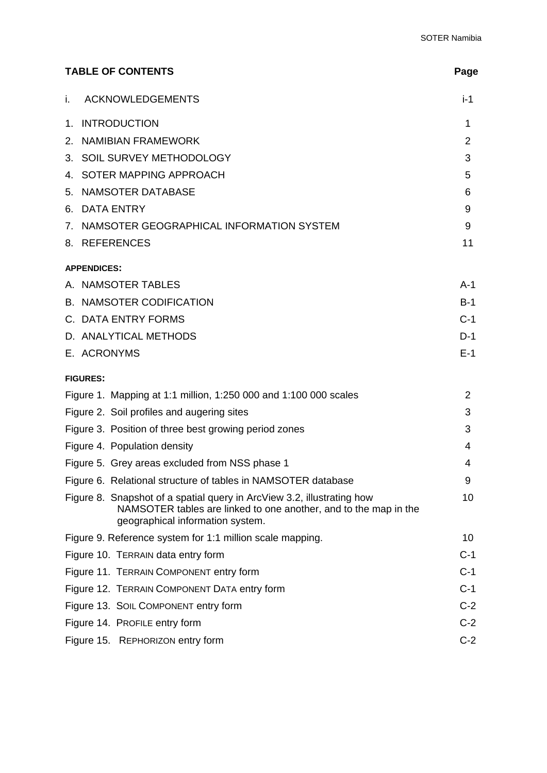| <b>TABLE OF CONTENTS</b>                                                                                                                                                       | Page           |
|--------------------------------------------------------------------------------------------------------------------------------------------------------------------------------|----------------|
| <b>ACKNOWLEDGEMENTS</b><br>i.                                                                                                                                                  | i-1            |
| <b>INTRODUCTION</b><br>1.                                                                                                                                                      | 1              |
| <b>NAMIBIAN FRAMEWORK</b><br>2.                                                                                                                                                | $\overline{2}$ |
| 3. SOIL SURVEY METHODOLOGY                                                                                                                                                     | 3              |
| 4. SOTER MAPPING APPROACH                                                                                                                                                      | 5              |
| 5. NAMSOTER DATABASE                                                                                                                                                           | 6              |
| 6. DATA ENTRY                                                                                                                                                                  | 9              |
| 7. NAMSOTER GEOGRAPHICAL INFORMATION SYSTEM                                                                                                                                    | 9              |
| 8. REFERENCES                                                                                                                                                                  | 11             |
| <b>APPENDICES:</b>                                                                                                                                                             |                |
| A. NAMSOTER TABLES                                                                                                                                                             | $A-1$          |
| <b>B. NAMSOTER CODIFICATION</b>                                                                                                                                                | $B-1$          |
| C. DATA ENTRY FORMS                                                                                                                                                            | $C-1$          |
| D. ANALYTICAL METHODS                                                                                                                                                          | $D-1$          |
| E. ACRONYMS                                                                                                                                                                    | $E-1$          |
| <b>FIGURES:</b>                                                                                                                                                                |                |
| Figure 1. Mapping at 1:1 million, 1:250 000 and 1:100 000 scales                                                                                                               | 2              |
| Figure 2. Soil profiles and augering sites                                                                                                                                     | 3              |
| Figure 3. Position of three best growing period zones                                                                                                                          | 3              |
| Figure 4. Population density                                                                                                                                                   | 4              |
| Figure 5. Grey areas excluded from NSS phase 1                                                                                                                                 | 4              |
| Figure 6. Relational structure of tables in NAMSOTER database                                                                                                                  | 9              |
| Figure 8. Snapshot of a spatial query in ArcView 3.2, illustrating how<br>NAMSOTER tables are linked to one another, and to the map in the<br>geographical information system. | 10             |
| Figure 9. Reference system for 1:1 million scale mapping.                                                                                                                      | 10             |
| Figure 10. TERRAIN data entry form                                                                                                                                             | $C-1$          |
| Figure 11. TERRAIN COMPONENT entry form                                                                                                                                        | $C-1$          |
| Figure 12. TERRAIN COMPONENT DATA entry form                                                                                                                                   | $C-1$          |
| Figure 13. SOIL COMPONENT entry form                                                                                                                                           | $C-2$          |
| Figure 14. PROFILE entry form                                                                                                                                                  | $C-2$          |
| Figure 15. REPHORIZON entry form                                                                                                                                               | $C-2$          |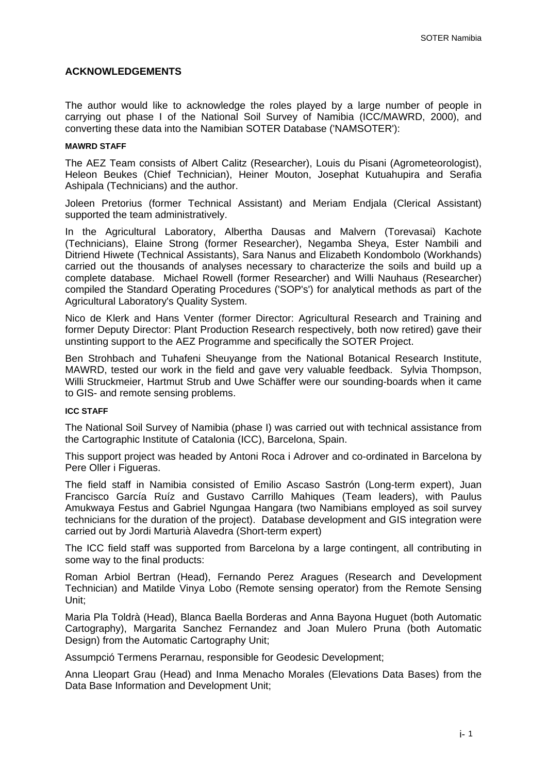### **ACKNOWLEDGEMENTS**

The author would like to acknowledge the roles played by a large number of people in carrying out phase I of the National Soil Survey of Namibia (ICC/MAWRD, 2000), and converting these data into the Namibian SOTER Database ('NAMSOTER'):

#### **MAWRD STAFF**

The AEZ Team consists of Albert Calitz (Researcher), Louis du Pisani (Agrometeorologist), Heleon Beukes (Chief Technician), Heiner Mouton, Josephat Kutuahupira and Serafia Ashipala (Technicians) and the author.

Joleen Pretorius (former Technical Assistant) and Meriam Endjala (Clerical Assistant) supported the team administratively.

In the Agricultural Laboratory, Albertha Dausas and Malvern (Torevasai) Kachote (Technicians), Elaine Strong (former Researcher), Negamba Sheya, Ester Nambili and Ditriend Hiwete (Technical Assistants), Sara Nanus and Elizabeth Kondombolo (Workhands) carried out the thousands of analyses necessary to characterize the soils and build up a complete database. Michael Rowell (former Researcher) and Willi Nauhaus (Researcher) compiled the Standard Operating Procedures ('SOP's') for analytical methods as part of the Agricultural Laboratory's Quality System.

Nico de Klerk and Hans Venter (former Director: Agricultural Research and Training and former Deputy Director: Plant Production Research respectively, both now retired) gave their unstinting support to the AEZ Programme and specifically the SOTER Project.

Ben Strohbach and Tuhafeni Sheuyange from the National Botanical Research Institute, MAWRD, tested our work in the field and gave very valuable feedback. Sylvia Thompson, Willi Struckmeier, Hartmut Strub and Uwe Schäffer were our sounding-boards when it came to GIS- and remote sensing problems.

#### **ICC STAFF**

The National Soil Survey of Namibia (phase I) was carried out with technical assistance from the Cartographic Institute of Catalonia (ICC), Barcelona, Spain.

This support project was headed by Antoni Roca i Adrover and co-ordinated in Barcelona by Pere Oller i Figueras.

The field staff in Namibia consisted of Emilio Ascaso Sastrón (Long-term expert), Juan Francisco García Ruíz and Gustavo Carrillo Mahiques (Team leaders), with Paulus Amukwaya Festus and Gabriel Ngungaa Hangara (two Namibians employed as soil survey technicians for the duration of the project). Database development and GIS integration were carried out by Jordi Marturià Alavedra (Short-term expert)

The ICC field staff was supported from Barcelona by a large contingent, all contributing in some way to the final products:

Roman Arbiol Bertran (Head), Fernando Perez Aragues (Research and Development Technician) and Matilde Vinya Lobo (Remote sensing operator) from the Remote Sensing Unit;

Maria Pla Toldrà (Head), Blanca Baella Borderas and Anna Bayona Huguet (both Automatic Cartography), Margarita Sanchez Fernandez and Joan Mulero Pruna (both Automatic Design) from the Automatic Cartography Unit;

Assumpció Termens Perarnau, responsible for Geodesic Development;

Anna Lleopart Grau (Head) and Inma Menacho Morales (Elevations Data Bases) from the Data Base Information and Development Unit;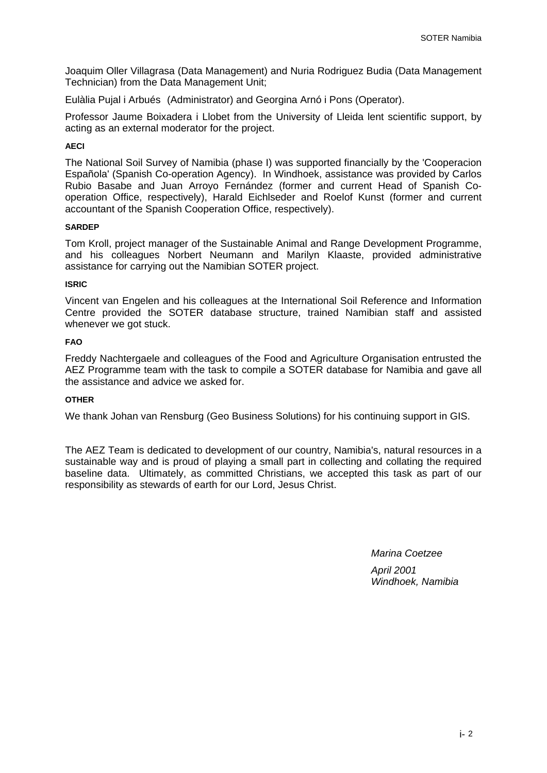Joaquim Oller Villagrasa (Data Management) and Nuria Rodriguez Budia (Data Management Technician) from the Data Management Unit;

Eulàlia Pujal i Arbués (Administrator) and Georgina Arnó i Pons (Operator).

Professor Jaume Boixadera i Llobet from the University of Lleida lent scientific support, by acting as an external moderator for the project.

### **AECI**

The National Soil Survey of Namibia (phase I) was supported financially by the 'Cooperacion Española' (Spanish Co-operation Agency). In Windhoek, assistance was provided by Carlos Rubio Basabe and Juan Arroyo Fernández (former and current Head of Spanish Cooperation Office, respectively), Harald Eichlseder and Roelof Kunst (former and current accountant of the Spanish Cooperation Office, respectively).

### **SARDEP**

Tom Kroll, project manager of the Sustainable Animal and Range Development Programme, and his colleagues Norbert Neumann and Marilyn Klaaste, provided administrative assistance for carrying out the Namibian SOTER project.

#### **ISRIC**

Vincent van Engelen and his colleagues at the International Soil Reference and Information Centre provided the SOTER database structure, trained Namibian staff and assisted whenever we got stuck.

### **FAO**

Freddy Nachtergaele and colleagues of the Food and Agriculture Organisation entrusted the AEZ Programme team with the task to compile a SOTER database for Namibia and gave all the assistance and advice we asked for.

### **OTHER**

We thank Johan van Rensburg (Geo Business Solutions) for his continuing support in GIS.

The AEZ Team is dedicated to development of our country, Namibia's, natural resources in a sustainable way and is proud of playing a small part in collecting and collating the required baseline data. Ultimately, as committed Christians, we accepted this task as part of our responsibility as stewards of earth for our Lord, Jesus Christ.

*Marina Coetzee* 

*April 2001 Windhoek, Namibia*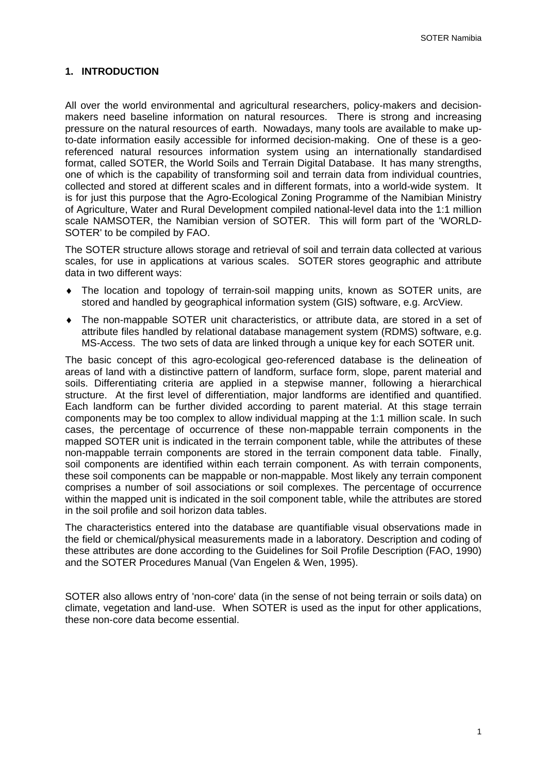### **1. INTRODUCTION**

All over the world environmental and agricultural researchers, policy-makers and decisionmakers need baseline information on natural resources. There is strong and increasing pressure on the natural resources of earth. Nowadays, many tools are available to make upto-date information easily accessible for informed decision-making. One of these is a georeferenced natural resources information system using an internationally standardised format, called SOTER, the World Soils and Terrain Digital Database. It has many strengths, one of which is the capability of transforming soil and terrain data from individual countries, collected and stored at different scales and in different formats, into a world-wide system. It is for just this purpose that the Agro-Ecological Zoning Programme of the Namibian Ministry of Agriculture, Water and Rural Development compiled national-level data into the 1:1 million scale NAMSOTER, the Namibian version of SOTER. This will form part of the 'WORLD-SOTER' to be compiled by FAO.

The SOTER structure allows storage and retrieval of soil and terrain data collected at various scales, for use in applications at various scales. SOTER stores geographic and attribute data in two different ways:

- The location and topology of terrain-soil mapping units, known as SOTER units, are stored and handled by geographical information system (GIS) software, e.g. ArcView.
- The non-mappable SOTER unit characteristics, or attribute data, are stored in a set of attribute files handled by relational database management system (RDMS) software, e.g. MS-Access. The two sets of data are linked through a unique key for each SOTER unit.

The basic concept of this agro-ecological geo-referenced database is the delineation of areas of land with a distinctive pattern of landform, surface form, slope, parent material and soils. Differentiating criteria are applied in a stepwise manner, following a hierarchical structure. At the first level of differentiation, major landforms are identified and quantified. Each landform can be further divided according to parent material. At this stage terrain components may be too complex to allow individual mapping at the 1:1 million scale. In such cases, the percentage of occurrence of these non-mappable terrain components in the mapped SOTER unit is indicated in the terrain component table, while the attributes of these non-mappable terrain components are stored in the terrain component data table. Finally, soil components are identified within each terrain component. As with terrain components, these soil components can be mappable or non-mappable. Most likely any terrain component comprises a number of soil associations or soil complexes. The percentage of occurrence within the mapped unit is indicated in the soil component table, while the attributes are stored in the soil profile and soil horizon data tables.

The characteristics entered into the database are quantifiable visual observations made in the field or chemical/physical measurements made in a laboratory. Description and coding of these attributes are done according to the Guidelines for Soil Profile Description (FAO, 1990) and the SOTER Procedures Manual (Van Engelen & Wen, 1995).

SOTER also allows entry of 'non-core' data (in the sense of not being terrain or soils data) on climate, vegetation and land-use. When SOTER is used as the input for other applications, these non-core data become essential.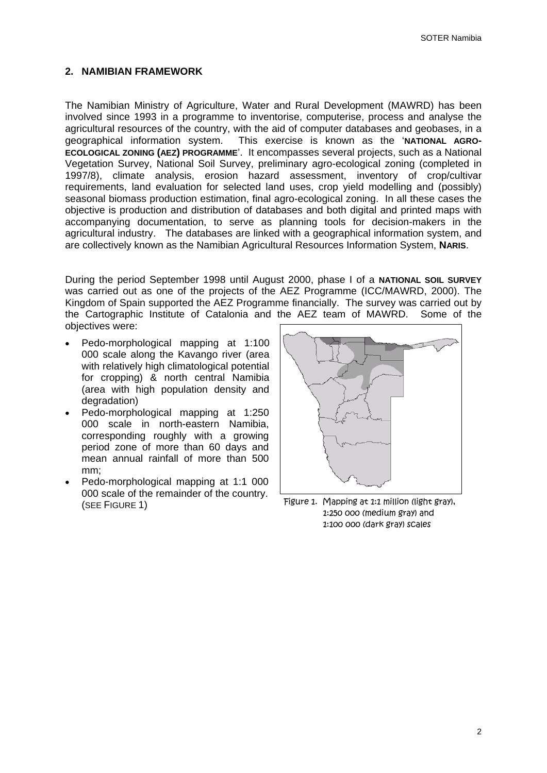### **2. NAMIBIAN FRAMEWORK**

The Namibian Ministry of Agriculture, Water and Rural Development (MAWRD) has been involved since 1993 in a programme to inventorise, computerise, process and analyse the agricultural resources of the country, with the aid of computer databases and geobases, in a geographical information system. This exercise is known as the '**NATIONAL AGRO-ECOLOGICAL ZONING (AEZ) PROGRAMME**'. It encompasses several projects, such as a National Vegetation Survey, National Soil Survey, preliminary agro-ecological zoning (completed in 1997/8), climate analysis, erosion hazard assessment, inventory of crop/cultivar requirements, land evaluation for selected land uses, crop yield modelling and (possibly) seasonal biomass production estimation, final agro-ecological zoning. In all these cases the objective is production and distribution of databases and both digital and printed maps with accompanying documentation, to serve as planning tools for decision-makers in the agricultural industry. The databases are linked with a geographical information system, and are collectively known as the Namibian Agricultural Resources Information System, **NARIS**.

During the period September 1998 until August 2000, phase I of a **NATIONAL SOIL SURVEY** was carried out as one of the projects of the AEZ Programme (ICC/MAWRD, 2000). The Kingdom of Spain supported the AEZ Programme financially. The survey was carried out by the Cartographic Institute of Catalonia and the AEZ team of MAWRD. Some of the objectives were:

- Pedo-morphological mapping at 1:100 000 scale along the Kavango river (area with relatively high climatological potential for cropping) & north central Namibia (area with high population density and degradation)
- Pedo-morphological mapping at 1:250 000 scale in north-eastern Namibia, corresponding roughly with a growing period zone of more than 60 days and mean annual rainfall of more than 500 mm;
- Pedo-morphological mapping at 1:1 000 000 scale of the remainder of the country. (SEE FIGURE 1)



Figure 1. Mapping at 1:1 million (light gray), 1:250 000 (medium gray) and 1:100 000 (dark gray) scales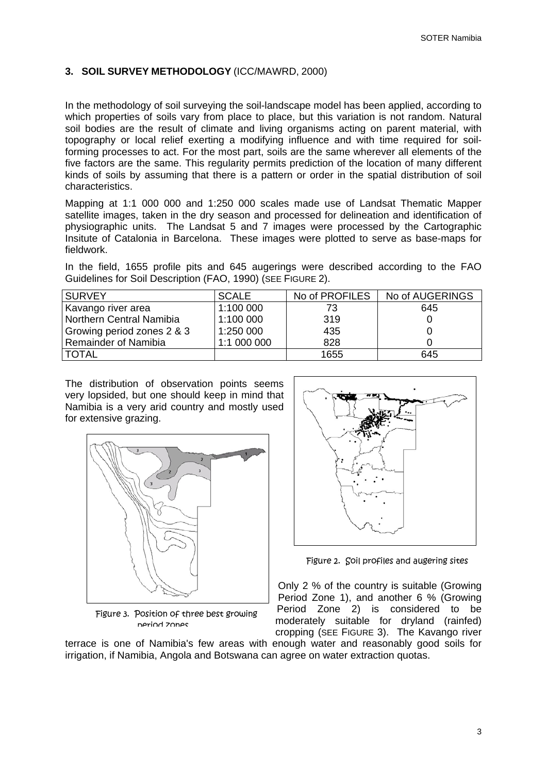### **3. SOIL SURVEY METHODOLOGY** (ICC/MAWRD, 2000)

In the methodology of soil surveying the soil-landscape model has been applied, according to which properties of soils vary from place to place, but this variation is not random. Natural soil bodies are the result of climate and living organisms acting on parent material, with topography or local relief exerting a modifying influence and with time required for soilforming processes to act. For the most part, soils are the same wherever all elements of the five factors are the same. This regularity permits prediction of the location of many different kinds of soils by assuming that there is a pattern or order in the spatial distribution of soil characteristics.

Mapping at 1:1 000 000 and 1:250 000 scales made use of Landsat Thematic Mapper satellite images, taken in the dry season and processed for delineation and identification of physiographic units. The Landsat 5 and 7 images were processed by the Cartographic Insitute of Catalonia in Barcelona. These images were plotted to serve as base-maps for fieldwork.

In the field, 1655 profile pits and 645 augerings were described according to the FAO Guidelines for Soil Description (FAO, 1990) (SEE FIGURE 2).

| <b>SURVEY</b>              | <b>SCALE</b> | No of PROFILES | No of AUGERINGS |
|----------------------------|--------------|----------------|-----------------|
| Kavango river area         | 1:100 000    | 73             | 645             |
| Northern Central Namibia   | 1:100 000    | 319            |                 |
| Growing period zones 2 & 3 | 1:250 000    | 435            |                 |
| Remainder of Namibia       | 1:1 000 000  | 828            |                 |
| <b>TOTAL</b>               |              | 1655           | 645             |

The distribution of observation points seems very lopsided, but one should keep in mind that Namibia is a very arid country and mostly used for extensive grazing.



Figure 3. Position of three best growing period zones



Figure 2. Soil profiles and augering sites

Only 2 % of the country is suitable (Growing Period Zone 1), and another 6 % (Growing Period Zone 2) is considered to be moderately suitable for dryland (rainfed) cropping (SEE FIGURE 3). The Kavango river

terrace is one of Namibia's few areas with enough water and reasonably good soils for irrigation, if Namibia, Angola and Botswana can agree on water extraction quotas.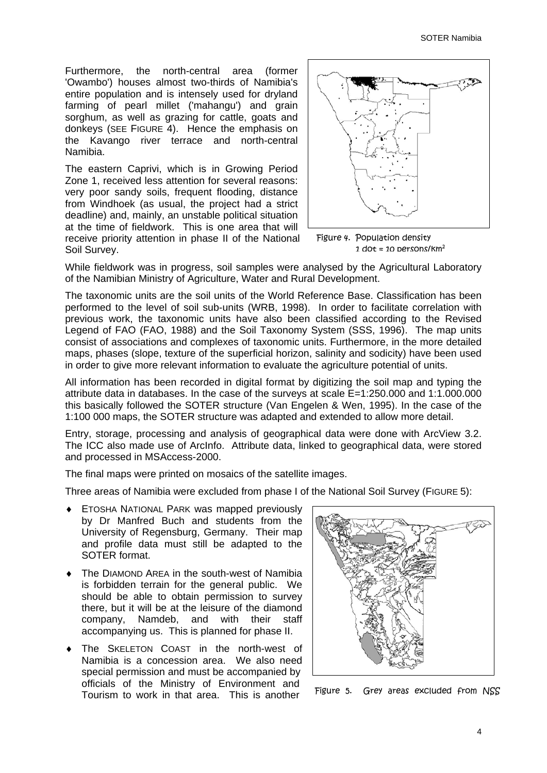Furthermore, the north-central area (former 'Owambo') houses almost two-thirds of Namibia's entire population and is intensely used for dryland farming of pearl millet ('mahangu') and grain sorghum, as well as grazing for cattle, goats and donkeys (SEE FIGURE 4). Hence the emphasis on the Kavango river terrace and north-central Namibia.

The eastern Caprivi, which is in Growing Period Zone 1, received less attention for several reasons: very poor sandy soils, frequent flooding, distance from Windhoek (as usual, the project had a strict deadline) and, mainly, an unstable political situation at the time of fieldwork. This is one area that will receive priority attention in phase II of the National Soil Survey.



Figure 4. Population density 1 dot = 10 persons/ $km^2$ 

While fieldwork was in progress, soil samples were analysed by the Agricultural Laboratory of the Namibian Ministry of Agriculture, Water and Rural Development.

The taxonomic units are the soil units of the World Reference Base. Classification has been performed to the level of soil sub-units (WRB, 1998). In order to facilitate correlation with previous work, the taxonomic units have also been classified according to the Revised Legend of FAO (FAO, 1988) and the Soil Taxonomy System (SSS, 1996). The map units consist of associations and complexes of taxonomic units. Furthermore, in the more detailed maps, phases (slope, texture of the superficial horizon, salinity and sodicity) have been used in order to give more relevant information to evaluate the agriculture potential of units.

All information has been recorded in digital format by digitizing the soil map and typing the attribute data in databases. In the case of the surveys at scale E=1:250.000 and 1:1.000.000 this basically followed the SOTER structure (Van Engelen & Wen, 1995). In the case of the 1:100 000 maps, the SOTER structure was adapted and extended to allow more detail.

Entry, storage, processing and analysis of geographical data were done with ArcView 3.2. The ICC also made use of ArcInfo. Attribute data, linked to geographical data, were stored and processed in MSAccess-2000.

The final maps were printed on mosaics of the satellite images.

Three areas of Namibia were excluded from phase I of the National Soil Survey (FIGURE 5):

- ETOSHA NATIONAL PARK was mapped previously by Dr Manfred Buch and students from the University of Regensburg, Germany. Their map and profile data must still be adapted to the SOTER format.
- The DIAMOND AREA in the south-west of Namibia is forbidden terrain for the general public. We should be able to obtain permission to survey there, but it will be at the leisure of the diamond company, Namdeb, and with their staff accompanying us. This is planned for phase II.
- The SKELETON COAST in the north-west of Namibia is a concession area. We also need special permission and must be accompanied by officials of the Ministry of Environment and Tourism to work in that area. This is another



Figure 5. Grey areas excluded from NSS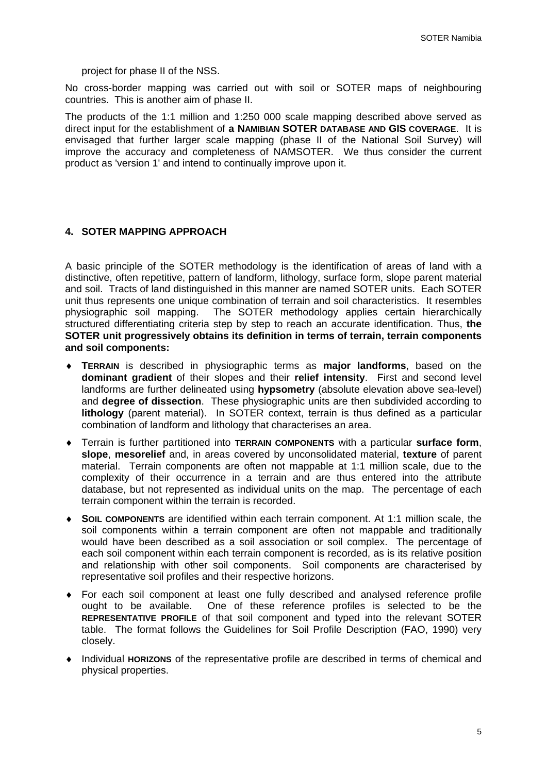project for phase II of the NSS.

No cross-border mapping was carried out with soil or SOTER maps of neighbouring countries. This is another aim of phase II.

The products of the 1:1 million and 1:250 000 scale mapping described above served as direct input for the establishment of **a NAMIBIAN SOTER DATABASE AND GIS COVERAGE**. It is envisaged that further larger scale mapping (phase II of the National Soil Survey) will improve the accuracy and completeness of NAMSOTER. We thus consider the current product as 'version 1' and intend to continually improve upon it.

### **4. SOTER MAPPING APPROACH**

A basic principle of the SOTER methodology is the identification of areas of land with a distinctive, often repetitive, pattern of landform, lithology, surface form, slope parent material and soil. Tracts of land distinguished in this manner are named SOTER units. Each SOTER unit thus represents one unique combination of terrain and soil characteristics. It resembles physiographic soil mapping. The SOTER methodology applies certain hierarchically structured differentiating criteria step by step to reach an accurate identification. Thus, **the SOTER unit progressively obtains its definition in terms of terrain, terrain components and soil components:**

- **TERRAIN** is described in physiographic terms as **major landforms**, based on the **dominant gradient** of their slopes and their **relief intensity**. First and second level landforms are further delineated using **hypsometry** (absolute elevation above sea-level) and **degree of dissection**. These physiographic units are then subdivided according to **lithology** (parent material). In SOTER context, terrain is thus defined as a particular combination of landform and lithology that characterises an area.
- Terrain is further partitioned into **TERRAIN COMPONENTS** with a particular **surface form**, **slope**, **mesorelief** and, in areas covered by unconsolidated material, **texture** of parent material. Terrain components are often not mappable at 1:1 million scale, due to the complexity of their occurrence in a terrain and are thus entered into the attribute database, but not represented as individual units on the map. The percentage of each terrain component within the terrain is recorded.
- **SOIL COMPONENTS** are identified within each terrain component. At 1:1 million scale, the soil components within a terrain component are often not mappable and traditionally would have been described as a soil association or soil complex. The percentage of each soil component within each terrain component is recorded, as is its relative position and relationship with other soil components. Soil components are characterised by representative soil profiles and their respective horizons.
- For each soil component at least one fully described and analysed reference profile ought to be available. One of these reference profiles is selected to be the **REPRESENTATIVE PROFILE** of that soil component and typed into the relevant SOTER table. The format follows the Guidelines for Soil Profile Description (FAO, 1990) very closely.
- Individual **HORIZONS** of the representative profile are described in terms of chemical and physical properties.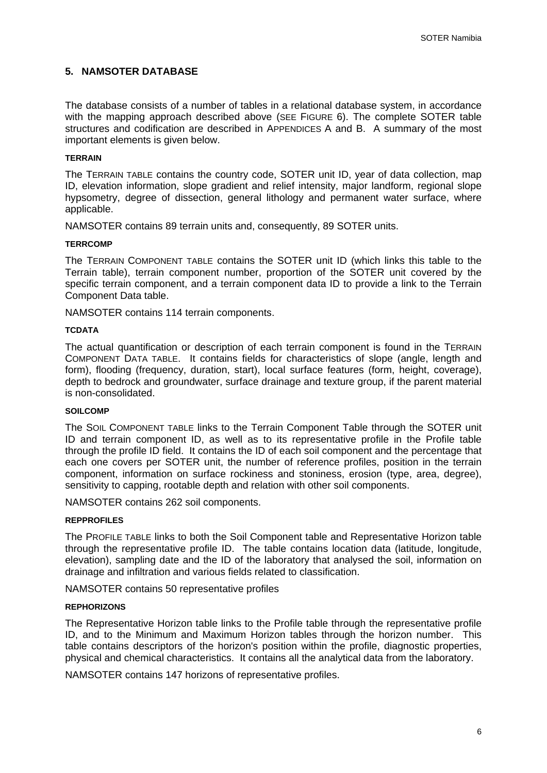### **5. NAMSOTER DATABASE**

The database consists of a number of tables in a relational database system, in accordance with the mapping approach described above (SEE FIGURE 6). The complete SOTER table structures and codification are described in APPENDICES A and B. A summary of the most important elements is given below.

### **TERRAIN**

The TERRAIN TABLE contains the country code, SOTER unit ID, year of data collection, map ID, elevation information, slope gradient and relief intensity, major landform, regional slope hypsometry, degree of dissection, general lithology and permanent water surface, where applicable.

NAMSOTER contains 89 terrain units and, consequently, 89 SOTER units.

#### **TERRCOMP**

The TERRAIN COMPONENT TABLE contains the SOTER unit ID (which links this table to the Terrain table), terrain component number, proportion of the SOTER unit covered by the specific terrain component, and a terrain component data ID to provide a link to the Terrain Component Data table.

NAMSOTER contains 114 terrain components.

#### **TCDATA**

The actual quantification or description of each terrain component is found in the TERRAIN COMPONENT DATA TABLE. It contains fields for characteristics of slope (angle, length and form), flooding (frequency, duration, start), local surface features (form, height, coverage), depth to bedrock and groundwater, surface drainage and texture group, if the parent material is non-consolidated.

#### **SOILCOMP**

The SOIL COMPONENT TABLE links to the Terrain Component Table through the SOTER unit ID and terrain component ID, as well as to its representative profile in the Profile table through the profile ID field. It contains the ID of each soil component and the percentage that each one covers per SOTER unit, the number of reference profiles, position in the terrain component, information on surface rockiness and stoniness, erosion (type, area, degree), sensitivity to capping, rootable depth and relation with other soil components.

NAMSOTER contains 262 soil components.

#### **REPPROFILES**

The PROFILE TABLE links to both the Soil Component table and Representative Horizon table through the representative profile ID. The table contains location data (latitude, longitude, elevation), sampling date and the ID of the laboratory that analysed the soil, information on drainage and infiltration and various fields related to classification.

NAMSOTER contains 50 representative profiles

#### **REPHORIZONS**

The Representative Horizon table links to the Profile table through the representative profile ID, and to the Minimum and Maximum Horizon tables through the horizon number. This table contains descriptors of the horizon's position within the profile, diagnostic properties, physical and chemical characteristics. It contains all the analytical data from the laboratory.

NAMSOTER contains 147 horizons of representative profiles.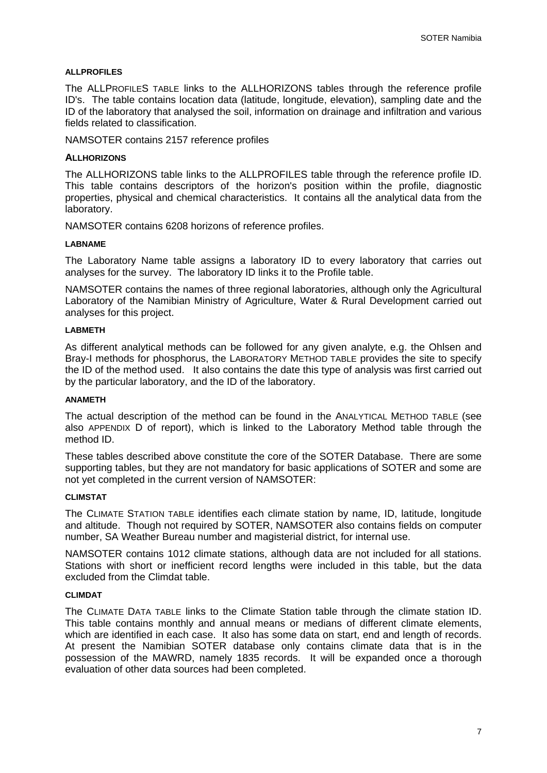#### **ALLPROFILES**

The ALLPROFILES TABLE links to the ALLHORIZONS tables through the reference profile ID's. The table contains location data (latitude, longitude, elevation), sampling date and the ID of the laboratory that analysed the soil, information on drainage and infiltration and various fields related to classification.

NAMSOTER contains 2157 reference profiles

#### **ALLHORIZONS**

The ALLHORIZONS table links to the ALLPROFILES table through the reference profile ID. This table contains descriptors of the horizon's position within the profile, diagnostic properties, physical and chemical characteristics. It contains all the analytical data from the laboratory.

NAMSOTER contains 6208 horizons of reference profiles.

#### **LABNAME**

The Laboratory Name table assigns a laboratory ID to every laboratory that carries out analyses for the survey. The laboratory ID links it to the Profile table.

NAMSOTER contains the names of three regional laboratories, although only the Agricultural Laboratory of the Namibian Ministry of Agriculture, Water & Rural Development carried out analyses for this project.

#### **LABMETH**

As different analytical methods can be followed for any given analyte, e.g. the Ohlsen and Bray-I methods for phosphorus, the LABORATORY METHOD TABLE provides the site to specify the ID of the method used. It also contains the date this type of analysis was first carried out by the particular laboratory, and the ID of the laboratory.

### **ANAMETH**

The actual description of the method can be found in the ANALYTICAL METHOD TABLE (see also APPENDIX D of report), which is linked to the Laboratory Method table through the method ID.

These tables described above constitute the core of the SOTER Database. There are some supporting tables, but they are not mandatory for basic applications of SOTER and some are not yet completed in the current version of NAMSOTER:

### **CLIMSTAT**

The CLIMATE STATION TABLE identifies each climate station by name, ID, latitude, longitude and altitude. Though not required by SOTER, NAMSOTER also contains fields on computer number, SA Weather Bureau number and magisterial district, for internal use.

NAMSOTER contains 1012 climate stations, although data are not included for all stations. Stations with short or inefficient record lengths were included in this table, but the data excluded from the Climdat table.

#### **CLIMDAT**

The CLIMATE DATA TABLE links to the Climate Station table through the climate station ID. This table contains monthly and annual means or medians of different climate elements, which are identified in each case. It also has some data on start, end and length of records. At present the Namibian SOTER database only contains climate data that is in the possession of the MAWRD, namely 1835 records. It will be expanded once a thorough evaluation of other data sources had been completed.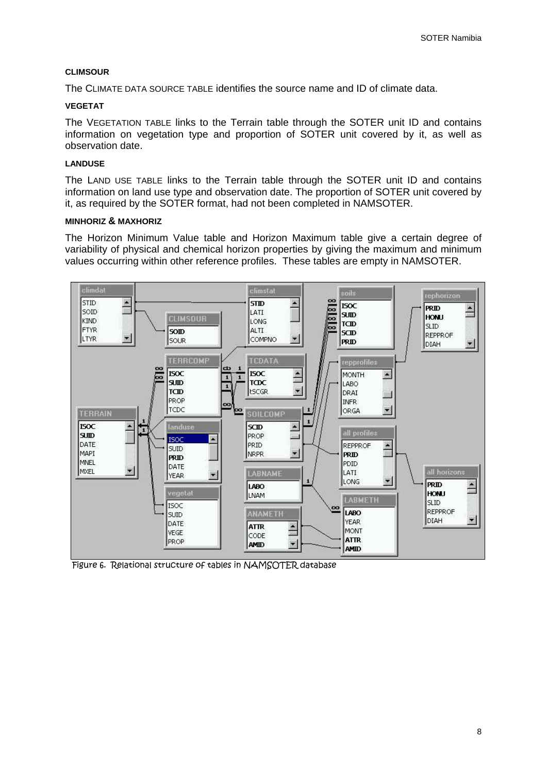### **CLIMSOUR**

The CLIMATE DATA SOURCE TABLE identifies the source name and ID of climate data.

### **VEGETAT**

The VEGETATION TABLE links to the Terrain table through the SOTER unit ID and contains information on vegetation type and proportion of SOTER unit covered by it, as well as observation date.

### **LANDUSE**

The LAND USE TABLE links to the Terrain table through the SOTER unit ID and contains information on land use type and observation date. The proportion of SOTER unit covered by it, as required by the SOTER format, had not been completed in NAMSOTER.

#### **MINHORIZ & MAXHORIZ**

The Horizon Minimum Value table and Horizon Maximum table give a certain degree of variability of physical and chemical horizon properties by giving the maximum and minimum values occurring within other reference profiles. These tables are empty in NAMSOTER.



Figure 6. Relational structure of tables in NAMSOTER database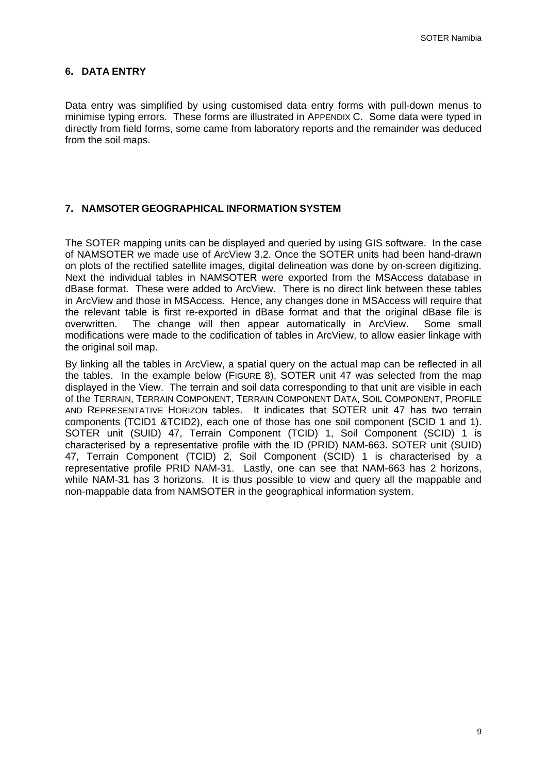### **6. DATA ENTRY**

Data entry was simplified by using customised data entry forms with pull-down menus to minimise typing errors. These forms are illustrated in APPENDIX C. Some data were typed in directly from field forms, some came from laboratory reports and the remainder was deduced from the soil maps.

### **7. NAMSOTER GEOGRAPHICAL INFORMATION SYSTEM**

The SOTER mapping units can be displayed and queried by using GIS software. In the case of NAMSOTER we made use of ArcView 3.2. Once the SOTER units had been hand-drawn on plots of the rectified satellite images, digital delineation was done by on-screen digitizing. Next the individual tables in NAMSOTER were exported from the MSAccess database in dBase format. These were added to ArcView. There is no direct link between these tables in ArcView and those in MSAccess. Hence, any changes done in MSAccess will require that the relevant table is first re-exported in dBase format and that the original dBase file is overwritten. The change will then appear automatically in ArcView. Some small modifications were made to the codification of tables in ArcView, to allow easier linkage with the original soil map.

By linking all the tables in ArcView, a spatial query on the actual map can be reflected in all the tables. In the example below (FIGURE 8), SOTER unit 47 was selected from the map displayed in the View. The terrain and soil data corresponding to that unit are visible in each of the TERRAIN, TERRAIN COMPONENT, TERRAIN COMPONENT DATA, SOIL COMPONENT, PROFILE AND REPRESENTATIVE HORIZON tables. It indicates that SOTER unit 47 has two terrain components (TCID1 &TCID2), each one of those has one soil component (SCID 1 and 1). SOTER unit (SUID) 47, Terrain Component (TCID) 1, Soil Component (SCID) 1 is characterised by a representative profile with the ID (PRID) NAM-663. SOTER unit (SUID) 47, Terrain Component (TCID) 2, Soil Component (SCID) 1 is characterised by a representative profile PRID NAM-31. Lastly, one can see that NAM-663 has 2 horizons, while NAM-31 has 3 horizons. It is thus possible to view and query all the mappable and non-mappable data from NAMSOTER in the geographical information system.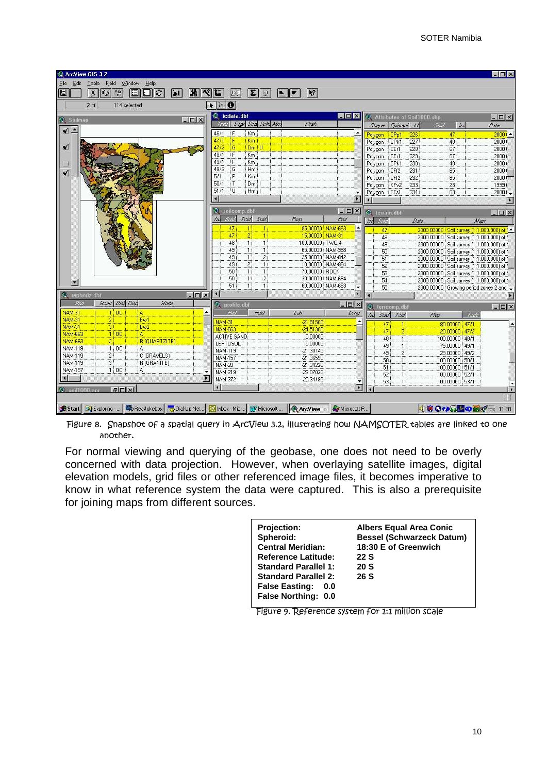| ArcView GIS 3.2                                                                                               |                                               |                                |                                      |                          |                          |                                 |                            |                                                                                        | $\Box$ D $\times$                   |
|---------------------------------------------------------------------------------------------------------------|-----------------------------------------------|--------------------------------|--------------------------------------|--------------------------|--------------------------|---------------------------------|----------------------------|----------------------------------------------------------------------------------------|-------------------------------------|
| Edit Table<br>Field Window<br>Help<br><b>File</b>                                                             |                                               |                                |                                      |                          |                          |                                 |                            |                                                                                        |                                     |
| the second<br>jsc:<br>n<br>$\hat{c}$<br>M<<br>圓<br>R <sub>b</sub><br>E<br>$\mathbf{h}$                        | I<br>E                                        | $\ \Sigma\ $<br>IL.            | $\blacktriangleright$ ?              |                          |                          |                                 |                            |                                                                                        |                                     |
| $2$ of<br>114 selected                                                                                        | NINO                                          |                                |                                      |                          |                          |                                 |                            |                                                                                        |                                     |
| $ \Box$ $\times$<br><b>2</b> Soilmap                                                                          | tedata.dbf                                    |                                |                                      | <b>EDX</b>               |                          |                                 | Attributes of Soil1000.shp |                                                                                        | $ \Box$ $\times$                    |
|                                                                                                               | Todo                                          | Segr Sed Schn Mrs              | Afrah                                |                          |                          | Shape Epigraph Id               | Sund                       | /80                                                                                    | Date                                |
| $\blacktriangledown$ $\blacktriangle$                                                                         | F<br>Km<br>46/1                               |                                |                                      | ۸                        | Polygon                  | CP <sub>D</sub> 1<br>226        |                            | 47                                                                                     | $2000($ $\triangle$                 |
| ✔                                                                                                             | F<br>Km<br>47/1<br>G<br>47/2                  | $Dm$ $U$                       |                                      |                          | Polygon<br>Polygon       | 227<br>CPk1<br>CEr1<br>228      |                            | 48<br>67                                                                               | 2000.0<br>2000.0                    |
|                                                                                                               | $\overline{F}$<br>Km<br>48/1                  |                                |                                      |                          | Polygon                  | CEr1<br>229                     |                            | 67                                                                                     | 2000.0                              |
|                                                                                                               | F<br>49/1<br>Km                               |                                |                                      |                          | Polygon                  | 230<br>CP <sub>k1</sub>         |                            | 48                                                                                     | 2000.0                              |
| ✔                                                                                                             | G<br>49/2<br>H <sub>m</sub><br>F<br>5/1<br>Km |                                |                                      |                          | Polygon                  | CFf2<br>231<br>232              |                            | 65<br>65                                                                               | 2000.0                              |
|                                                                                                               | 50/1<br>T                                     | $Dm$ :                         |                                      |                          | Polygon<br>Polygon       | CFf2<br>KF <sub>v2</sub><br>233 |                            | 28                                                                                     | 2000.0<br>1999.0                    |
|                                                                                                               | 51/1<br>T                                     | $Hm$                           |                                      |                          | Polygon                  | CF <sub>s1</sub><br>234         |                            | 63                                                                                     | $2000.1 -$                          |
|                                                                                                               | $\left  \cdot \right $                        |                                |                                      | П                        |                          |                                 |                            |                                                                                        |                                     |
|                                                                                                               | $\mathbf{D}$<br>soilcomp.dbf                  |                                |                                      | $ \Box$ $\times$         | <sup>2</sup> terrain.dbf |                                 |                            |                                                                                        | $ \Box$ $\times$                    |
|                                                                                                               | Teid<br>152<br><b>Sind</b>                    | Scid                           | <b>Frop</b>                          | <b>Frid</b>              | Sund<br>/3               |                                 | $D$ afe                    | M <sub>3C</sub>                                                                        |                                     |
|                                                                                                               | 47<br>$\vert$ 1                               | $\mathbf{1}$                   | 85.00000 NAM-663                     |                          | 47                       |                                 |                            | 2000.00000 Soil survey (1:1.000.000) of t =                                            |                                     |
|                                                                                                               | 47<br>$\overline{c}$                          | $\mathbf{1}$                   | 15.00000 NAM-31                      |                          | 48                       |                                 |                            | 2000.00000 Soil survey (1:1.000.000) of f                                              |                                     |
|                                                                                                               | 48<br>$\mathbf{1}$<br>49<br>$\mathbf{1}$      | $\mathbf{1}$<br>$\mathbf{1}$   | 100.00000 TWO-4<br>65.00000 NAM-968  |                          | 49                       |                                 |                            | 2000.00000 Soil survey (1:1.000.000) of f                                              |                                     |
|                                                                                                               | $\mathbf{1}$<br>49                            | $\overline{c}$                 | 25.00000 NAM-842                     |                          | 50<br>51                 |                                 |                            | 2000.00000 Soil survey (1:1.000.000) of f<br>2000.00000 Soil survey (1:1.000.000) of f |                                     |
|                                                                                                               | $\overline{2}$<br>49                          | $\mathbf{1}$                   | 10.00000 NAM-884                     |                          | 52                       |                                 |                            | 2000.00000 Soil survey (1:1.000.000) of f                                              |                                     |
|                                                                                                               | 50<br>$\mathbf{1}$                            | 1                              | 70.00000 ROCK                        |                          | 53                       |                                 |                            | 2000.00000 Soil survey (1:1.000.000) of f                                              |                                     |
|                                                                                                               | 50<br>$\mathbf{1}$<br>51<br>$\mathbf{1}$      | $\overline{2}$<br>$\mathbf{1}$ | 30.00000 NAM-684<br>60.00000 NAM-663 |                          | 54                       |                                 |                            | 2000.00000 Soil survey (1:1.000.000) of f                                              |                                     |
| $ \Box$ $\times$<br>rephoniz dbf<br>質                                                                         | ¥                                             |                                |                                      | ۰<br>×                   | 55                       |                                 |                            | 2000.00000 Growing period zones 2 and                                                  |                                     |
| Phit<br>Honu Dish Diap<br>Hode                                                                                | <b>O</b> profile dbf                          |                                |                                      | $ \Box$ $\times$         |                          |                                 |                            |                                                                                        |                                     |
| A<br><b>NAM-31</b><br>110C<br>≛                                                                               | Frid                                          | <b>Fitat</b>                   | $L$ afr                              | Lana                     | Q.<br>152<br>Suit        | terrcomp.dbf<br>Text            | <b>Prip</b>                | Tede                                                                                   | $  \vert$ $\alpha$ $\vert$ $\times$ |
| $\overline{2}$<br>Bw1<br><b>NAM-31</b>                                                                        | <b>NAM-31</b>                                 |                                | $-21.81500$                          |                          | 47                       | $\mathbf{1}$                    |                            | 80.00000 47/1                                                                          |                                     |
| Bw2<br><b>NAM-31</b><br>$\overline{3}$<br><b>NAM-663</b><br>110C<br>A                                         | <b>NAM-663</b>                                |                                | $-24.51300$                          |                          | 47                       | $\overline{2}$                  |                            | 20.00000   47/2                                                                        |                                     |
| <b>NAM-663</b><br>$\overline{2}$<br>R (QUARTZITE)                                                             | <b>ACTIVE SAND</b>                            |                                | 0.00000                              |                          | 48                       | $\mathbf{1}$                    |                            | 100.00000 48/1                                                                         |                                     |
| <b>NAM-119</b><br>110C<br>A                                                                                   | LEPTOSOL<br><b>NAM-119</b>                    |                                | 0.00000<br>$-21.30740$               |                          | 49                       | $\mathbf{1}$                    |                            | 75.00000 49/1                                                                          |                                     |
| <b>NAM-119</b><br>$\overline{2}$<br>C (GRAVELS)                                                               | <b>NAM-157</b>                                |                                | $-21.36590$                          |                          | 49<br>50                 | $\overline{c}$                  |                            | 25.00000 49/2<br>100.00000 50/1                                                        |                                     |
| $\overline{3}$<br><b>NAM-119</b><br>R (GRANITE)                                                               | <b>NAM-20</b>                                 |                                | $-21.34220$                          |                          | 51                       | $\mathbf{1}$<br>$\mathbf{1}$    |                            | 100.00000 51/1                                                                         |                                     |
| <b>NAM-157</b><br>1 00<br>A<br>۰<br>×                                                                         | NAM-219                                       |                                | $-22.07030$                          |                          | 52                       | 1                               |                            | 100.00000 52/1                                                                         |                                     |
| Ø                                                                                                             | NAM-372                                       |                                | $-20.34490$                          |                          | 53                       | $\mathbf{1}$                    |                            | 100.00000 53/1                                                                         |                                     |
| B D X <br><b>C</b> soil1000.apr                                                                               | $\blacksquare$                                |                                |                                      | $\overline{\phantom{1}}$ |                          |                                 |                            |                                                                                        | IT                                  |
|                                                                                                               |                                               |                                |                                      |                          |                          |                                 |                            |                                                                                        | HH                                  |
| Start   Q Exploring -   Sheal Jukebox   Man Up Net   O Inbox - Micr   W Microsoft    ArcView    W Microsoft P |                                               |                                |                                      |                          |                          |                                 |                            | <b>◆ BO少 ●■の過ぎ → 11:28</b>                                                             |                                     |

Figure 8. Snapshot of a spatial query in ArcView 3.2, illustrating how NAMSOTER tables are linked to one another,

For normal viewing and querying of the geobase, one does not need to be overly concerned with data projection. However, when overlaying satellite images, digital elevation models, grid files or other referenced image files, it becomes imperative to know in what reference system the data were captured. This is also a prerequisite for joining maps from different sources.

| <b>Projection:</b>                                  | <b>Albers Equal Area Conic</b>   |
|-----------------------------------------------------|----------------------------------|
| Spheroid:                                           | <b>Bessel (Schwarzeck Datum)</b> |
| <b>Central Meridian:</b>                            | 18:30 E of Greenwich             |
| <b>Reference Latitude:</b>                          | 22 S                             |
| <b>Standard Parallel 1:</b>                         | 20S                              |
| <b>Standard Parallel 2:</b>                         | 26S                              |
| <b>False Easting:</b><br>0.0<br>False Northing: 0.0 |                                  |

Figure 9. Reference system for 1:1 million scale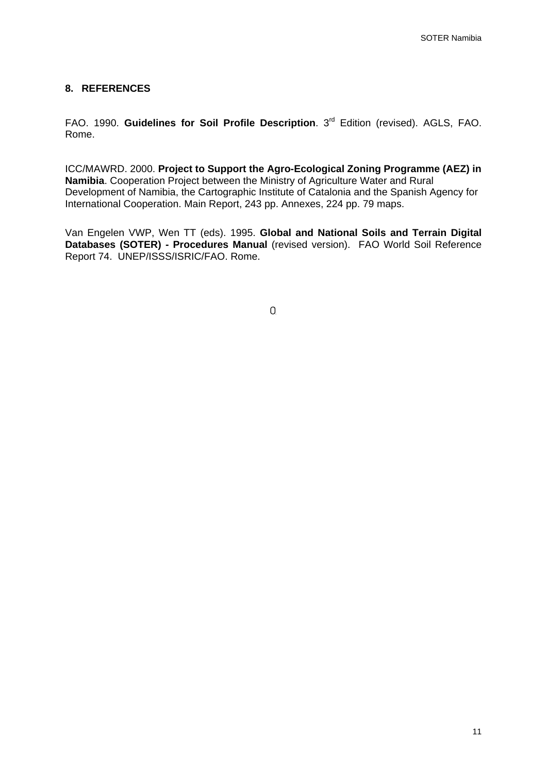### **8. REFERENCES**

FAO. 1990. **Guidelines for Soil Profile Description**. 3rd Edition (revised). AGLS, FAO. Rome.

ICC/MAWRD. 2000. **Project to Support the Agro-Ecological Zoning Programme (AEZ) in Namibia**. Cooperation Project between the Ministry of Agriculture Water and Rural Development of Namibia, the Cartographic Institute of Catalonia and the Spanish Agency for International Cooperation. Main Report, 243 pp. Annexes, 224 pp. 79 maps.

Van Engelen VWP, Wen TT (eds). 1995. **Global and National Soils and Terrain Digital Databases (SOTER) - Procedures Manual** (revised version). FAO World Soil Reference Report 74. UNEP/ISSS/ISRIC/FAO. Rome.

 $\overline{0}$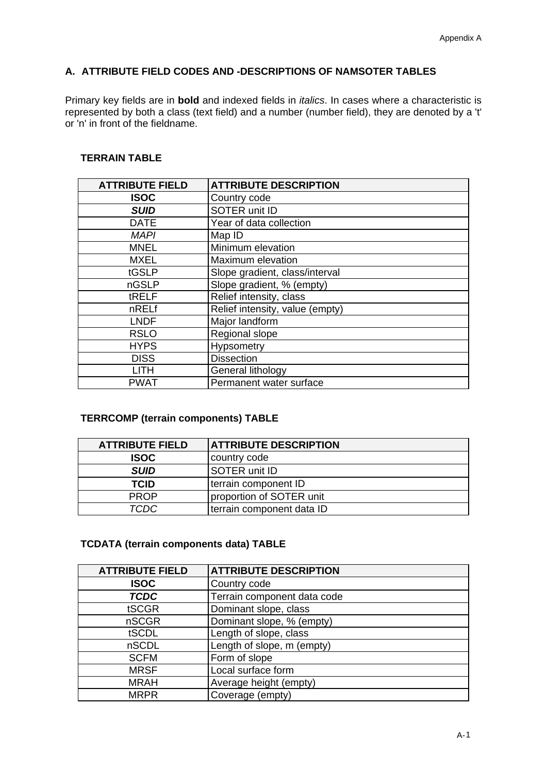### **A. ATTRIBUTE FIELD CODES AND -DESCRIPTIONS OF NAMSOTER TABLES**

Primary key fields are in **bold** and indexed fields in *italics*. In cases where a characteristic is represented by both a class (text field) and a number (number field), they are denoted by a 't' or 'n' in front of the fieldname.

### **TERRAIN TABLE**

| <b>ATTRIBUTE FIELD</b> | <b>ATTRIBUTE DESCRIPTION</b>    |
|------------------------|---------------------------------|
| <b>ISOC</b>            | Country code                    |
| <b>SUID</b>            | SOTER unit ID                   |
| <b>DATE</b>            | Year of data collection         |
| <b>MAPI</b>            | Map ID                          |
| <b>MNEL</b>            | Minimum elevation               |
| MXEL                   | Maximum elevation               |
| tGSLP                  | Slope gradient, class/interval  |
| nGSLP                  | Slope gradient, % (empty)       |
| tRELF                  | Relief intensity, class         |
| nRELf                  | Relief intensity, value (empty) |
| <b>LNDF</b>            | Major landform                  |
| <b>RSLO</b>            | Regional slope                  |
| <b>HYPS</b>            | Hypsometry                      |
| <b>DISS</b>            | <b>Dissection</b>               |
| LITH                   | General lithology               |
| PWAT                   | Permanent water surface         |

### **TERRCOMP (terrain components) TABLE**

| <b>ATTRIBUTE FIELD</b> | <b>ATTRIBUTE DESCRIPTION</b> |
|------------------------|------------------------------|
| <b>ISOC</b>            | country code                 |
| <b>SUID</b>            | <b>SOTER unit ID</b>         |
| <b>TCID</b>            | terrain component ID         |
| <b>PROP</b>            | proportion of SOTER unit     |
| TCDC                   | terrain component data ID    |

### **TCDATA (terrain components data) TABLE**

| <b>ATTRIBUTE FIELD</b> | <b>ATTRIBUTE DESCRIPTION</b> |
|------------------------|------------------------------|
| <b>ISOC</b>            | Country code                 |
| <b>TCDC</b>            | Terrain component data code  |
| tSCGR                  | Dominant slope, class        |
| nSCGR                  | Dominant slope, % (empty)    |
| tSCDL                  | Length of slope, class       |
| nSCDL                  | Length of slope, m (empty)   |
| <b>SCFM</b>            | Form of slope                |
| <b>MRSF</b>            | Local surface form           |
| <b>MRAH</b>            | Average height (empty)       |
| <b>MRPR</b>            | Coverage (empty)             |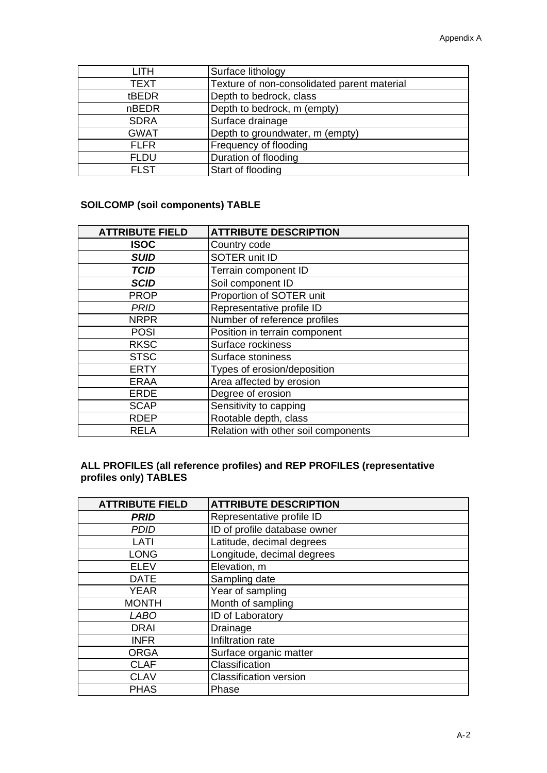| LITH         | Surface lithology                           |
|--------------|---------------------------------------------|
| <b>TEXT</b>  | Texture of non-consolidated parent material |
| tBEDR        | Depth to bedrock, class                     |
| <b>nBEDR</b> | Depth to bedrock, m (empty)                 |
| <b>SDRA</b>  | Surface drainage                            |
| <b>GWAT</b>  | Depth to groundwater, m (empty)             |
| <b>FLFR</b>  | Frequency of flooding                       |
| <b>FLDU</b>  | Duration of flooding                        |
| <b>FLST</b>  | Start of flooding                           |

### **SOILCOMP (soil components) TABLE**

| <b>ATTRIBUTE FIELD</b> | <b>ATTRIBUTE DESCRIPTION</b>        |
|------------------------|-------------------------------------|
| <b>ISOC</b>            | Country code                        |
| <b>SUID</b>            | SOTER unit ID                       |
| <b>TCID</b>            | Terrain component ID                |
| <b>SCID</b>            | Soil component ID                   |
| <b>PROP</b>            | Proportion of SOTER unit            |
| <b>PRID</b>            | Representative profile ID           |
| <b>NRPR</b>            | Number of reference profiles        |
| <b>POSI</b>            | Position in terrain component       |
| <b>RKSC</b>            | Surface rockiness                   |
| <b>STSC</b>            | Surface stoniness                   |
| <b>ERTY</b>            | Types of erosion/deposition         |
| <b>ERAA</b>            | Area affected by erosion            |
| <b>ERDE</b>            | Degree of erosion                   |
| <b>SCAP</b>            | Sensitivity to capping              |
| <b>RDEP</b>            | Rootable depth, class               |
| RELA                   | Relation with other soil components |

### **ALL PROFILES (all reference profiles) and REP PROFILES (representative profiles only) TABLES**

| <b>ATTRIBUTE FIELD</b> | <b>ATTRIBUTE DESCRIPTION</b>  |
|------------------------|-------------------------------|
| <b>PRID</b>            | Representative profile ID     |
| <b>PDID</b>            | ID of profile database owner  |
| LATI                   | Latitude, decimal degrees     |
| <b>LONG</b>            | Longitude, decimal degrees    |
| <b>ELEV</b>            | Elevation, m                  |
| <b>DATE</b>            | Sampling date                 |
| <b>YEAR</b>            | Year of sampling              |
| <b>MONTH</b>           | Month of sampling             |
| <b>LABO</b>            | ID of Laboratory              |
| <b>DRAI</b>            | Drainage                      |
| <b>INFR</b>            | Infiltration rate             |
| <b>ORGA</b>            | Surface organic matter        |
| <b>CLAF</b>            | Classification                |
| <b>CLAV</b>            | <b>Classification version</b> |
| <b>PHAS</b>            | Phase                         |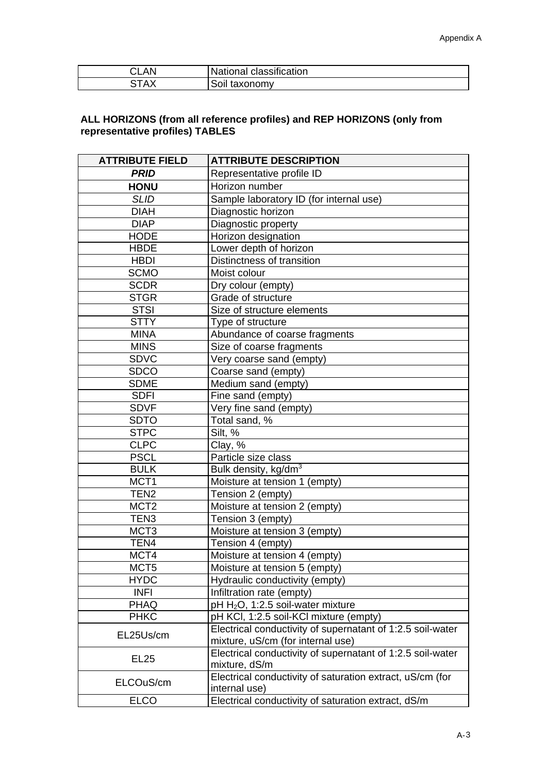| .AN<br>ັ                   | National classification |
|----------------------------|-------------------------|
| .TAY<br>$\mathcal{L}$<br>ື | Soil<br>taxonomy        |

### **ALL HORIZONS (from all reference profiles) and REP HORIZONS (only from representative profiles) TABLES**

| <b>ATTRIBUTE FIELD</b> | <b>ATTRIBUTE DESCRIPTION</b>                                                                    |
|------------------------|-------------------------------------------------------------------------------------------------|
| <b>PRID</b>            | Representative profile ID                                                                       |
| <b>HONU</b>            | Horizon number                                                                                  |
| <b>SLID</b>            | Sample laboratory ID (for internal use)                                                         |
| <b>DIAH</b>            | Diagnostic horizon                                                                              |
| <b>DIAP</b>            | Diagnostic property                                                                             |
| <b>HODE</b>            | Horizon designation                                                                             |
| <b>HBDE</b>            | Lower depth of horizon                                                                          |
| <b>HBDI</b>            | Distinctness of transition                                                                      |
| <b>SCMO</b>            | Moist colour                                                                                    |
| <b>SCDR</b>            | Dry colour (empty)                                                                              |
| <b>STGR</b>            | Grade of structure                                                                              |
| <b>STSI</b>            | Size of structure elements                                                                      |
| <b>STTY</b>            | Type of structure                                                                               |
| <b>MINA</b>            | Abundance of coarse fragments                                                                   |
| <b>MINS</b>            | Size of coarse fragments                                                                        |
| <b>SDVC</b>            | Very coarse sand (empty)                                                                        |
| <b>SDCO</b>            | Coarse sand (empty)                                                                             |
| <b>SDME</b>            | Medium sand (empty)                                                                             |
| <b>SDFI</b>            | Fine sand (empty)                                                                               |
| <b>SDVF</b>            | Very fine sand (empty)                                                                          |
| <b>SDTO</b>            | Total sand, %                                                                                   |
| <b>STPC</b>            | Silt, %                                                                                         |
| <b>CLPC</b>            | Clay, %                                                                                         |
| <b>PSCL</b>            | Particle size class                                                                             |
| <b>BULK</b>            | Bulk density, kg/dm <sup>3</sup>                                                                |
| MCT <sub>1</sub>       | Moisture at tension 1 (empty)                                                                   |
| TEN <sub>2</sub>       | Tension 2 (empty)                                                                               |
| MCT <sub>2</sub>       | Moisture at tension 2 (empty)                                                                   |
| TEN <sub>3</sub>       | Tension 3 (empty)                                                                               |
| MCT <sub>3</sub>       | Moisture at tension 3 (empty)                                                                   |
| TEN4                   | Tension 4 (empty)                                                                               |
| MCT4                   | Moisture at tension 4 (empty)                                                                   |
| MCT <sub>5</sub>       | Moisture at tension 5 (empty)                                                                   |
| <b>HYDC</b>            | Hydraulic conductivity (empty)                                                                  |
| <b>INFI</b>            | Infiltration rate (empty)                                                                       |
| <b>PHAQ</b>            | pH H <sub>2</sub> O, 1:2.5 soil-water mixture                                                   |
| <b>PHKC</b>            | pH KCI, 1:2.5 soil-KCI mixture (empty)                                                          |
| EL25Us/cm              | Electrical conductivity of supernatant of 1:2.5 soil-water<br>mixture, uS/cm (for internal use) |
| <b>EL25</b>            | Electrical conductivity of supernatant of 1:2.5 soil-water<br>mixture, dS/m                     |
| ELCOuS/cm              | Electrical conductivity of saturation extract, uS/cm (for<br>internal use)                      |
| <b>ELCO</b>            | Electrical conductivity of saturation extract, dS/m                                             |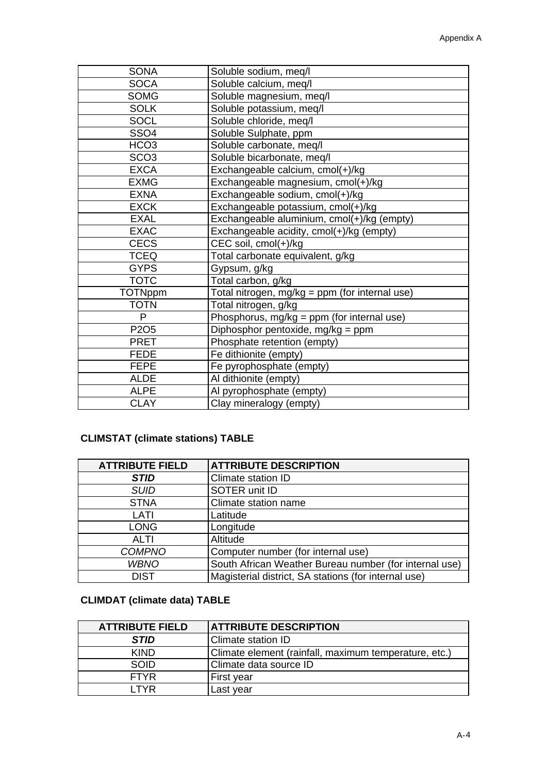| <b>SONA</b>      | Soluble sodium, meq/l                          |
|------------------|------------------------------------------------|
| <b>SOCA</b>      | Soluble calcium, meq/l                         |
| <b>SOMG</b>      | Soluble magnesium, meq/l                       |
| <b>SOLK</b>      | Soluble potassium, meq/l                       |
| <b>SOCL</b>      | Soluble chloride, meq/l                        |
| <b>SSO4</b>      | Soluble Sulphate, ppm                          |
| HCO <sub>3</sub> | Soluble carbonate, meq/l                       |
| SCO <sub>3</sub> | Soluble bicarbonate, meq/l                     |
| <b>EXCA</b>      | Exchangeable calcium, cmol(+)/kg               |
| <b>EXMG</b>      | Exchangeable magnesium, cmol(+)/kg             |
| <b>EXNA</b>      | Exchangeable sodium, cmol(+)/kg                |
| <b>EXCK</b>      | Exchangeable potassium, cmol(+)/kg             |
| <b>EXAL</b>      | Exchangeable aluminium, cmol(+)/kg (empty)     |
| <b>EXAC</b>      | Exchangeable acidity, cmol(+)/kg (empty)       |
| <b>CECS</b>      | CEC soil, cmol(+)/kg                           |
| <b>TCEQ</b>      | Total carbonate equivalent, g/kg               |
| <b>GYPS</b>      | Gypsum, g/kg                                   |
| <b>TOTC</b>      | Total carbon, g/kg                             |
| <b>TOTNppm</b>   | Total nitrogen, mg/kg = ppm (for internal use) |
| <b>TOTN</b>      | Total nitrogen, g/kg                           |
| P                | Phosphorus, mg/kg = ppm (for internal use)     |
| P2O <sub>5</sub> | Diphosphor pentoxide, mg/kg = ppm              |
| <b>PRET</b>      | Phosphate retention (empty)                    |
| <b>FEDE</b>      | Fe dithionite (empty)                          |
| <b>FEPE</b>      | Fe pyrophosphate (empty)                       |
| <b>ALDE</b>      | Al dithionite (empty)                          |
| <b>ALPE</b>      | Al pyrophosphate (empty)                       |
| <b>CLAY</b>      | Clay mineralogy (empty)                        |

### **CLIMSTAT (climate stations) TABLE**

| <b>ATTRIBUTE FIELD</b> | <b>ATTRIBUTE DESCRIPTION</b>                           |
|------------------------|--------------------------------------------------------|
| <b>STID</b>            | Climate station ID                                     |
| <b>SUID</b>            | SOTER unit ID                                          |
| <b>STNA</b>            | Climate station name                                   |
| LATI                   | Latitude                                               |
| <b>LONG</b>            | Longitude                                              |
| ALTI                   | Altitude                                               |
| <b>COMPNO</b>          | Computer number (for internal use)                     |
| <b>WBNO</b>            | South African Weather Bureau number (for internal use) |
| <b>DIST</b>            | Magisterial district, SA stations (for internal use)   |

### **CLIMDAT (climate data) TABLE**

| <b>ATTRIBUTE FIELD</b> | <b>ATTRIBUTE DESCRIPTION</b>                          |
|------------------------|-------------------------------------------------------|
| <b>STID</b>            | <b>Climate station ID</b>                             |
| <b>KIND</b>            | Climate element (rainfall, maximum temperature, etc.) |
| <b>SOID</b>            | Climate data source ID                                |
| <b>FTYR</b>            | First year                                            |
| I TYR                  | Last year                                             |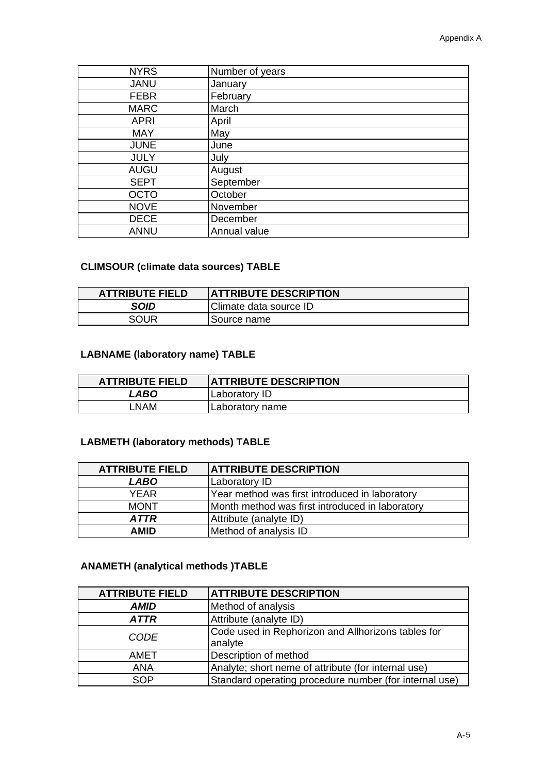| <b>NYRS</b> | Number of years |
|-------------|-----------------|
| <b>JANU</b> | January         |
| <b>FEBR</b> | February        |
| <b>MARC</b> | March           |
| <b>APRI</b> | April           |
| <b>MAY</b>  | May             |
| <b>JUNE</b> | June            |
| <b>JULY</b> | July            |
| <b>AUGU</b> | August          |
| <b>SEPT</b> | September       |
| <b>OCTO</b> | October         |
| <b>NOVE</b> | November        |
| <b>DECE</b> | December        |
| <b>ANNU</b> | Annual value    |

### **CLIMSOUR (climate data sources) TABLE**

| <b>ATTRIBUTE FIELD</b> | <b>ATTRIBUTE DESCRIPTION</b> |
|------------------------|------------------------------|
| <b>SOID</b>            | Climate data source ID       |
| SOUR                   | Source name                  |

### **LABNAME (laboratory name) TABLE**

| <b>ATTRIBUTE FIELD</b> | <b>ATTRIBUTE DESCRIPTION</b> |
|------------------------|------------------------------|
| LABO                   | Laboratory ID                |
| ∟NAM                   | Laboratory name              |

### **LABMETH (laboratory methods) TABLE**

| <b>ATTRIBUTE FIELD</b> | <b>ATTRIBUTE DESCRIPTION</b>                    |
|------------------------|-------------------------------------------------|
| <b>LABO</b>            | Laboratory ID                                   |
| <b>YFAR</b>            | Year method was first introduced in laboratory  |
| <b>MONT</b>            | Month method was first introduced in laboratory |
| <b>ATTR</b>            | Attribute (analyte ID)                          |
| <b>AMID</b>            | Method of analysis ID                           |

### **ANAMETH (analytical methods )TABLE**

| <b>ATTRIBUTE FIELD</b> | <b>ATTRIBUTE DESCRIPTION</b>                                  |
|------------------------|---------------------------------------------------------------|
| <b>AMID</b>            | Method of analysis                                            |
| <b>ATTR</b>            | Attribute (analyte ID)                                        |
| <b>CODE</b>            | Code used in Rephorizon and Allhorizons tables for<br>analyte |
| AMET                   | Description of method                                         |
| <b>ANA</b>             | Analyte; short neme of attribute (for internal use)           |
| <b>SOP</b>             | Standard operating procedure number (for internal use)        |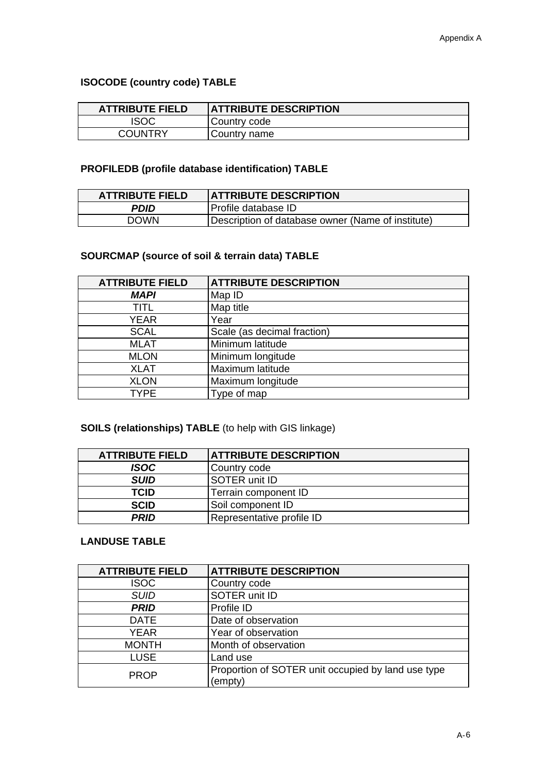### **ISOCODE (country code) TABLE**

| <b>ATTRIBUTE FIELD</b> | <b>ATTRIBUTE DESCRIPTION</b> |
|------------------------|------------------------------|
| <b>ISOC</b>            | Country code                 |
| <b>COUNTRY</b>         | Country name                 |

### **PROFILEDB (profile database identification) TABLE**

| <b>ATTRIBUTE FIELD</b> | <b>ATTRIBUTE DESCRIPTION</b>                      |
|------------------------|---------------------------------------------------|
| PDID                   | Profile database ID                               |
| <b>DOWN</b>            | Description of database owner (Name of institute) |

### **SOURCMAP (source of soil & terrain data) TABLE**

| <b>ATTRIBUTE FIELD</b> | <b>ATTRIBUTE DESCRIPTION</b> |
|------------------------|------------------------------|
| <b>MAPI</b>            | Map ID                       |
| TITL                   | Map title                    |
| <b>YEAR</b>            | Year                         |
| <b>SCAL</b>            | Scale (as decimal fraction)  |
| <b>MLAT</b>            | Minimum latitude             |
| <b>MLON</b>            | Minimum longitude            |
| <b>XLAT</b>            | Maximum latitude             |
| <b>XLON</b>            | Maximum longitude            |
| <b>TYPE</b>            | Type of map                  |

### **SOILS (relationships) TABLE** (to help with GIS linkage)

| <b>ATTRIBUTE FIELD</b> | <b>ATTRIBUTE DESCRIPTION</b> |
|------------------------|------------------------------|
| <b>ISOC</b>            | Country code                 |
| <b>SUID</b>            | <b>SOTER unit ID</b>         |
| <b>TCID</b>            | Terrain component ID         |
| <b>SCID</b>            | Soil component ID            |
| PRID                   | Representative profile ID    |

### **LANDUSE TABLE**

| <b>ATTRIBUTE FIELD</b> | <b>ATTRIBUTE DESCRIPTION</b>                                  |
|------------------------|---------------------------------------------------------------|
| <b>ISOC</b>            | Country code                                                  |
| <b>SUID</b>            | SOTER unit ID                                                 |
| <b>PRID</b>            | Profile ID                                                    |
| <b>DATE</b>            | Date of observation                                           |
| <b>YEAR</b>            | Year of observation                                           |
| <b>MONTH</b>           | Month of observation                                          |
| <b>LUSE</b>            | Land use                                                      |
| <b>PROP</b>            | Proportion of SOTER unit occupied by land use type<br>(empty) |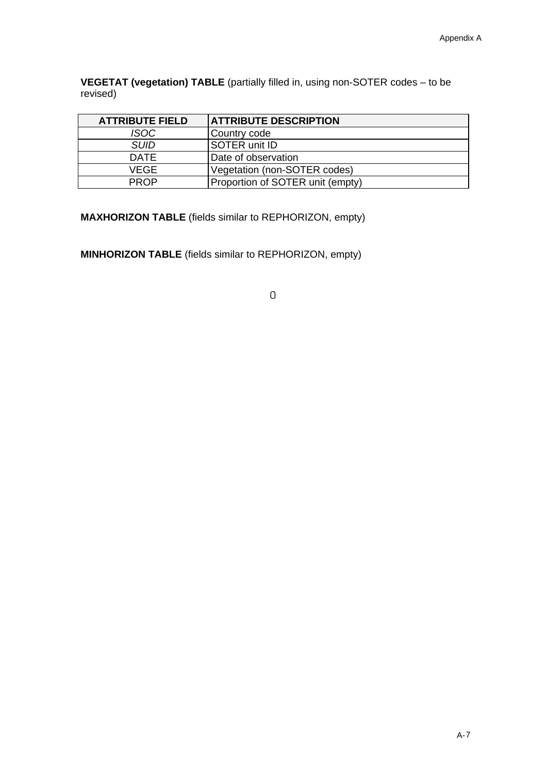**VEGETAT (vegetation) TABLE** (partially filled in, using non-SOTER codes – to be revised)

| <b>ATTRIBUTE FIELD</b> | <b>ATTRIBUTE DESCRIPTION</b>     |
|------------------------|----------------------------------|
| <b>ISOC</b>            | Country code                     |
| <b>SUID</b>            | <b>SOTER unit ID</b>             |
| <b>DATE</b>            | Date of observation              |
| VEGE                   | Vegetation (non-SOTER codes)     |
| <b>PROP</b>            | Proportion of SOTER unit (empty) |

**MAXHORIZON TABLE** (fields similar to REPHORIZON, empty)

**MINHORIZON TABLE** (fields similar to REPHORIZON, empty)

 $\mathbf{0}$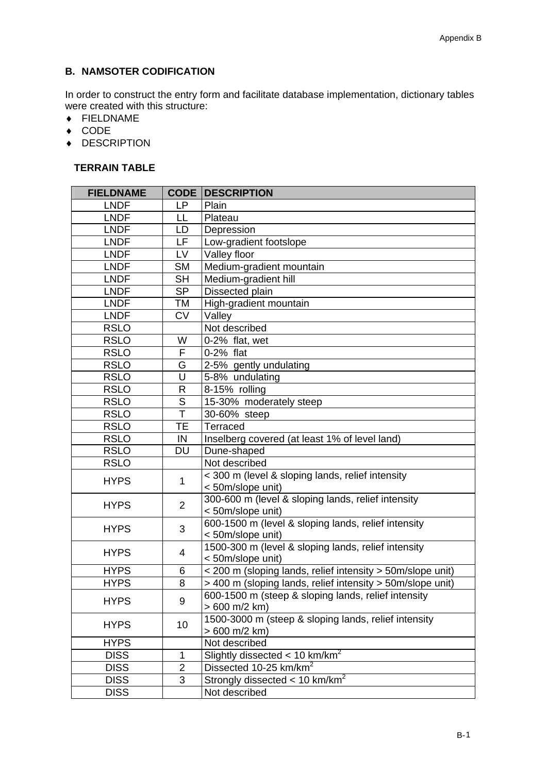### **B. NAMSOTER CODIFICATION**

In order to construct the entry form and facilitate database implementation, dictionary tables were created with this structure:

- FIELDNAME
- $\triangleleft$  CODE
- ◆ DESCRIPTION

### **TERRAIN TABLE**

| <b>FIELDNAME</b> | CODE                | <b>DESCRIPTION</b>                                                     |
|------------------|---------------------|------------------------------------------------------------------------|
| <b>LNDF</b>      | <b>LP</b>           | Plain                                                                  |
| <b>LNDF</b>      | LL                  | Plateau                                                                |
| <b>LNDF</b>      | LD                  | Depression                                                             |
| <b>LNDF</b>      | LF                  | Low-gradient footslope                                                 |
| <b>LNDF</b>      | <b>LV</b>           | Valley floor                                                           |
| <b>LNDF</b>      | <b>SM</b>           | Medium-gradient mountain                                               |
| <b>LNDF</b>      | <b>SH</b>           | Medium-gradient hill                                                   |
| <b>LNDF</b>      | <b>SP</b>           | Dissected plain                                                        |
| <b>LNDF</b>      | TM                  | High-gradient mountain                                                 |
| <b>LNDF</b>      | <b>CV</b>           | Valley                                                                 |
| <b>RSLO</b>      |                     | Not described                                                          |
| <b>RSLO</b>      | W                   | 0-2% flat, wet                                                         |
| <b>RSLO</b>      | F                   | 0-2% flat                                                              |
| <b>RSLO</b>      | G                   | 2-5% gently undulating                                                 |
| <b>RSLO</b>      | U                   | 5-8% undulating                                                        |
| <b>RSLO</b>      | R                   | 8-15% rolling                                                          |
| <b>RSLO</b>      | $\mathsf S$         | 15-30% moderately steep                                                |
| <b>RSLO</b>      | T                   | 30-60% steep                                                           |
| <b>RSLO</b>      | <b>TE</b>           | Terraced                                                               |
| <b>RSLO</b>      | IN                  | Inselberg covered (at least 1% of level land)                          |
| <b>RSLO</b>      | <b>DU</b>           | Dune-shaped                                                            |
| <b>RSLO</b>      |                     | Not described                                                          |
| <b>HYPS</b>      | 1                   | < 300 m (level & sloping lands, relief intensity                       |
|                  |                     | <50m/slope unit)                                                       |
| <b>HYPS</b>      | $\overline{2}$      | 300-600 m (level & sloping lands, relief intensity                     |
|                  |                     | < 50m/slope unit)                                                      |
| <b>HYPS</b>      | 3                   | 600-1500 m (level & sloping lands, relief intensity                    |
|                  |                     | < 50m/slope unit)                                                      |
| <b>HYPS</b>      | 4                   | 1500-300 m (level & sloping lands, relief intensity                    |
|                  |                     | <50m/slope unit)                                                       |
| <b>HYPS</b>      | 6                   | < 200 m (sloping lands, relief intensity > 50m/slope unit)             |
| <b>HYPS</b>      | 8                   | > 400 m (sloping lands, relief intensity > 50m/slope unit)             |
| <b>HYPS</b>      | 9                   | 600-1500 m (steep & sloping lands, relief intensity                    |
|                  |                     | $>600$ m/2 km)<br>1500-3000 m (steep & sloping lands, relief intensity |
| <b>HYPS</b>      | 10                  | > 600 m/2 km)                                                          |
| <b>HYPS</b>      |                     | Not described                                                          |
| <b>DISS</b>      |                     | Slightly dissected $< 10$ km/km <sup>2</sup>                           |
| <b>DISS</b>      | 1<br>$\overline{2}$ | Dissected 10-25 km/km <sup>2</sup>                                     |
| <b>DISS</b>      | 3                   | Strongly dissected < 10 km/km <sup>2</sup>                             |
| <b>DISS</b>      |                     | Not described                                                          |
|                  |                     |                                                                        |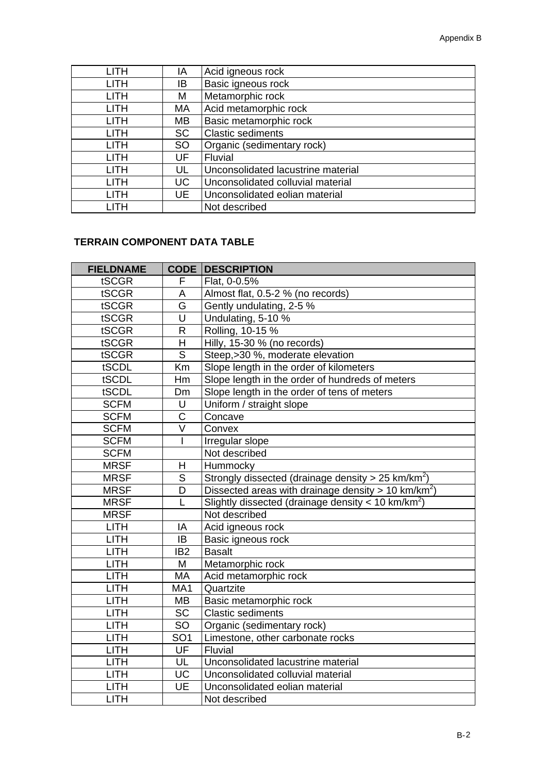| <b>LITH</b> | ΙA        | Acid igneous rock                  |
|-------------|-----------|------------------------------------|
| <b>LITH</b> | IB.       | Basic igneous rock                 |
| <b>LITH</b> | M         | Metamorphic rock                   |
| <b>LITH</b> | MA        | Acid metamorphic rock              |
| <b>LITH</b> | MВ        | Basic metamorphic rock             |
| <b>LITH</b> | <b>SC</b> | <b>Clastic sediments</b>           |
| <b>LITH</b> | <b>SO</b> | Organic (sedimentary rock)         |
| <b>LITH</b> | UF        | <b>Fluvial</b>                     |
| <b>LITH</b> | UL        | Unconsolidated lacustrine material |
| <b>LITH</b> | <b>UC</b> | Unconsolidated colluvial material  |
| <b>LITH</b> | UE        | Unconsolidated eolian material     |
|             |           | Not described                      |

### **TERRAIN COMPONENT DATA TABLE**

| <b>FIELDNAME</b> | <b>CODE</b>       | <b>DESCRIPTION</b>                                                |
|------------------|-------------------|-------------------------------------------------------------------|
| tSCGR            | F                 | Flat, 0-0.5%                                                      |
| tSCGR            | A                 | Almost flat, 0.5-2 % (no records)                                 |
| tSCGR            | G                 | Gently undulating, 2-5 %                                          |
| tSCGR            | U                 | Undulating, 5-10 %                                                |
| tSCGR            | $\mathsf{R}$      | Rolling, 10-15 %                                                  |
| tSCGR            | H                 | Hilly, 15-30 % (no records)                                       |
| tSCGR            | S                 | Steep,>30 %, moderate elevation                                   |
| tSCDL            | Km                | Slope length in the order of kilometers                           |
| tSCDL            | Hm                | Slope length in the order of hundreds of meters                   |
| tSCDL            | Dm                | Slope length in the order of tens of meters                       |
| <b>SCFM</b>      | U                 | Uniform / straight slope                                          |
| <b>SCFM</b>      | C                 | Concave                                                           |
| <b>SCFM</b>      | $\overline{\vee}$ | Convex                                                            |
| <b>SCFM</b>      | I                 | Irregular slope                                                   |
| <b>SCFM</b>      |                   | Not described                                                     |
| <b>MRSF</b>      | Н                 | Hummocky                                                          |
| <b>MRSF</b>      | $\overline{S}$    | Strongly dissected (drainage density $> 25$ km/km <sup>2</sup> )  |
| <b>MRSF</b>      | D                 | Dissected areas with drainage density $> 10$ km/km <sup>2</sup> ) |
| <b>MRSF</b>      | L                 | Slightly dissected (drainage density $<$ 10 km/km <sup>2</sup> )  |
| <b>MRSF</b>      |                   | Not described                                                     |
| <b>LITH</b>      | IA                | Acid igneous rock                                                 |
| <b>LITH</b>      | IB                | Basic igneous rock                                                |
| <b>LITH</b>      | IB <sub>2</sub>   | <b>Basalt</b>                                                     |
| <b>LITH</b>      | M                 | Metamorphic rock                                                  |
| <b>LITH</b>      | MA                | Acid metamorphic rock                                             |
| <b>LITH</b>      | MA1               | Quartzite                                                         |
| <b>LITH</b>      | MB                | Basic metamorphic rock                                            |
| <b>LITH</b>      | <b>SC</b>         | <b>Clastic sediments</b>                                          |
| <b>LITH</b>      | <b>SO</b>         | Organic (sedimentary rock)                                        |
| <b>LITH</b>      | SO <sub>1</sub>   | Limestone, other carbonate rocks                                  |
| <b>LITH</b>      | UF                | Fluvial                                                           |
| <b>LITH</b>      | UL                | Unconsolidated lacustrine material                                |
| <b>LITH</b>      | <b>UC</b>         | Unconsolidated colluvial material                                 |
| <b>LITH</b>      | UE                | Unconsolidated eolian material                                    |
| <b>LITH</b>      |                   | Not described                                                     |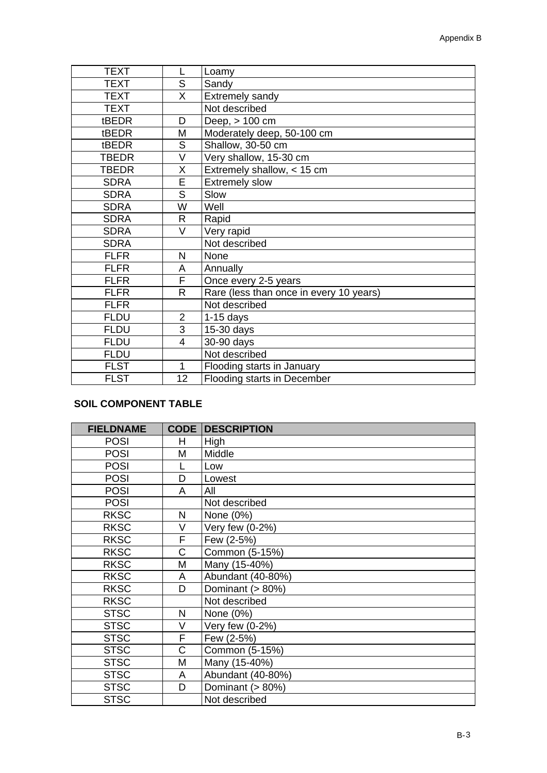| <b>TEXT</b>  | L              | Loamy                                   |
|--------------|----------------|-----------------------------------------|
| <b>TEXT</b>  | S              | Sandy                                   |
| <b>TEXT</b>  | X              | <b>Extremely sandy</b>                  |
| <b>TEXT</b>  |                | Not described                           |
| tBEDR        | D              | Deep, > 100 cm                          |
| tBEDR        | М              | Moderately deep, 50-100 cm              |
| tBEDR        | S              | Shallow, 30-50 cm                       |
| TBEDR        | V              | Very shallow, 15-30 cm                  |
| <b>TBEDR</b> | X              | Extremely shallow, < 15 cm              |
| <b>SDRA</b>  | E              | <b>Extremely slow</b>                   |
| <b>SDRA</b>  | S              | Slow                                    |
| <b>SDRA</b>  | W              | Well                                    |
| <b>SDRA</b>  | R              | Rapid                                   |
| <b>SDRA</b>  | V              | Very rapid                              |
| <b>SDRA</b>  |                | Not described                           |
| <b>FLFR</b>  | N              | None                                    |
| <b>FLFR</b>  | A              | Annually                                |
| <b>FLFR</b>  | F              | Once every 2-5 years                    |
| <b>FLFR</b>  | R              | Rare (less than once in every 10 years) |
| <b>FLFR</b>  |                | Not described                           |
| <b>FLDU</b>  | $\overline{2}$ | $1-15$ days                             |
| <b>FLDU</b>  | 3              | 15-30 days                              |
| <b>FLDU</b>  | 4              | 30-90 days                              |
| <b>FLDU</b>  |                | Not described                           |
| <b>FLST</b>  | 1              | Flooding starts in January              |
| <b>FLST</b>  | 12             | Flooding starts in December             |

### **SOIL COMPONENT TABLE**

| <b>FIELDNAME</b> |        | <b>CODE DESCRIPTION</b> |
|------------------|--------|-------------------------|
| <b>POSI</b>      | H      | High                    |
| <b>POSI</b>      | Μ      | Middle                  |
| <b>POSI</b>      | L      | Low                     |
| <b>POSI</b>      | D      | Lowest                  |
| <b>POSI</b>      | A      | All                     |
| <b>POSI</b>      |        | Not described           |
| <b>RKSC</b>      | N      | None (0%)               |
| <b>RKSC</b>      | $\vee$ | Very few (0-2%)         |
| <b>RKSC</b>      | F      | Few (2-5%)              |
| <b>RKSC</b>      | C      | Common (5-15%)          |
| <b>RKSC</b>      | M      | Many (15-40%)           |
| <b>RKSC</b>      | A      | Abundant (40-80%)       |
| <b>RKSC</b>      | D      | Dominant (> 80%)        |
| <b>RKSC</b>      |        | Not described           |
| <b>STSC</b>      | N      | None (0%)               |
| <b>STSC</b>      | V      | Very few (0-2%)         |
| <b>STSC</b>      | F      | Few (2-5%)              |
| <b>STSC</b>      | C      | Common (5-15%)          |
| <b>STSC</b>      | M      | Many (15-40%)           |
| <b>STSC</b>      | A      | Abundant (40-80%)       |
| <b>STSC</b>      | D      | Dominant (> 80%)        |
| <b>STSC</b>      |        | Not described           |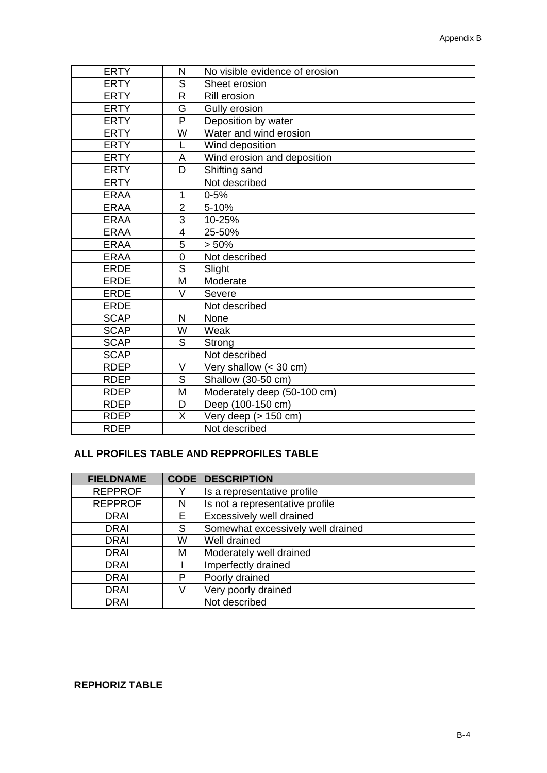| <b>ERTY</b> | N              | No visible evidence of erosion |
|-------------|----------------|--------------------------------|
| <b>ERTY</b> | S              | Sheet erosion                  |
| <b>ERTY</b> | R              | Rill erosion                   |
| <b>ERTY</b> | G              | Gully erosion                  |
| <b>ERTY</b> | P              | Deposition by water            |
| <b>ERTY</b> | W              | Water and wind erosion         |
| <b>ERTY</b> | L              | Wind deposition                |
| <b>ERTY</b> | A              | Wind erosion and deposition    |
| <b>ERTY</b> | D              | Shifting sand                  |
| <b>ERTY</b> |                | Not described                  |
| <b>ERAA</b> | 1              | $0 - 5%$                       |
| <b>ERAA</b> | $\overline{2}$ | 5-10%                          |
| <b>ERAA</b> | 3              | 10-25%                         |
| <b>ERAA</b> | 4              | 25-50%                         |
| <b>ERAA</b> | 5              | > 50%                          |
| <b>ERAA</b> | $\overline{0}$ | Not described                  |
| <b>ERDE</b> | S              | Slight                         |
| <b>ERDE</b> | M              | Moderate                       |
| <b>ERDE</b> | V              | Severe                         |
| <b>ERDE</b> |                | Not described                  |
| <b>SCAP</b> | N              | None                           |
| <b>SCAP</b> | W              | Weak                           |
| <b>SCAP</b> | S              | Strong                         |
| <b>SCAP</b> |                | Not described                  |
| <b>RDEP</b> | V              | Very shallow $(30 \text{ cm})$ |
| <b>RDEP</b> | S              | Shallow (30-50 cm)             |
| <b>RDEP</b> | M              | Moderately deep (50-100 cm)    |
| <b>RDEP</b> | D              | Deep (100-150 cm)              |
| <b>RDEP</b> | X              | Very deep (> 150 cm)           |
| <b>RDEP</b> |                | Not described                  |

### **ALL PROFILES TABLE AND REPPROFILES TABLE**

| <b>FIELDNAME</b> |    | <b>CODE DESCRIPTION</b>           |
|------------------|----|-----------------------------------|
| <b>REPPROF</b>   | Y  | Is a representative profile       |
| <b>REPPROF</b>   | N  | Is not a representative profile   |
| <b>DRAI</b>      | E. | Excessively well drained          |
| <b>DRAI</b>      | S  | Somewhat excessively well drained |
| DRAI             | W  | Well drained                      |
| <b>DRAI</b>      | M  | Moderately well drained           |
| <b>DRAI</b>      |    | Imperfectly drained               |
| DRAI             | P  | Poorly drained                    |
| <b>DRAI</b>      | V  | Very poorly drained               |
| <b>DRAI</b>      |    | Not described                     |

### **REPHORIZ TABLE**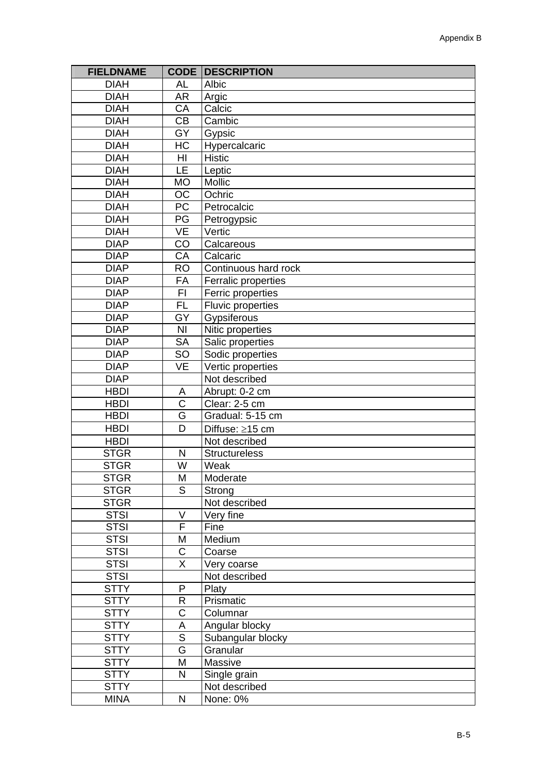| <b>FIELDNAME</b> | <b>CODE</b>                | <b>DESCRIPTION</b>   |
|------------------|----------------------------|----------------------|
| <b>DIAH</b>      | <b>AL</b>                  | Albic                |
| <b>DIAH</b>      | <b>AR</b>                  | Argic                |
| <b>DIAH</b>      | CA                         | Calcic               |
| <b>DIAH</b>      | <b>CB</b>                  | Cambic               |
| <b>DIAH</b>      | GY                         | Gypsic               |
| <b>DIAH</b>      | HC                         | Hypercalcaric        |
| <b>DIAH</b>      | H <sub>l</sub>             | <b>Histic</b>        |
| <b>DIAH</b>      | LE                         | Leptic               |
| <b>DIAH</b>      | <b>MO</b>                  | Mollic               |
| <b>DIAH</b>      | OC                         | Ochric               |
| <b>DIAH</b>      | PC                         | Petrocalcic          |
| <b>DIAH</b>      | PG                         | Petrogypsic          |
| <b>DIAH</b>      | <b>VE</b>                  | Vertic               |
| <b>DIAP</b>      | CO                         | Calcareous           |
| <b>DIAP</b>      | CA                         | Calcaric             |
| <b>DIAP</b>      | <b>RO</b>                  | Continuous hard rock |
| <b>DIAP</b>      | FA                         | Ferralic properties  |
| <b>DIAP</b>      | F1                         | Ferric properties    |
| <b>DIAP</b>      | $\overline{FL}$            | Fluvic properties    |
| <b>DIAP</b>      | $\overline{GY}$            | Gypsiferous          |
| <b>DIAP</b>      | N <sub>l</sub>             | Nitic properties     |
| <b>DIAP</b>      | <b>SA</b>                  | Salic properties     |
| <b>DIAP</b>      | SO                         | Sodic properties     |
| <b>DIAP</b>      | <b>VE</b>                  | Vertic properties    |
| <b>DIAP</b>      |                            | Not described        |
| <b>HBDI</b>      |                            | Abrupt: 0-2 cm       |
| <b>HBDI</b>      | A<br>$\overline{\text{c}}$ | Clear: 2-5 cm        |
|                  | G                          |                      |
| <b>HBDI</b>      | D                          | Gradual: 5-15 cm     |
| <b>HBDI</b>      |                            | Diffuse: ≥15 cm      |
| <b>HBDI</b>      |                            | Not described        |
| <b>STGR</b>      | N                          | <b>Structureless</b> |
| <b>STGR</b>      | W                          | Weak                 |
| <b>STGR</b>      | M                          | Moderate             |
| <b>STGR</b>      | S                          | Strong               |
| <b>STGR</b>      |                            | Not described        |
| <b>STSI</b>      | $\vee$                     | Very fine            |
| <b>STSI</b>      | F                          | Fine                 |
| <b>STSI</b>      | M                          | Medium               |
| <b>STSI</b>      | $\mathsf C$                | Coarse               |
| <b>STSI</b>      | $\sf X$                    | Very coarse          |
| <b>STSI</b>      |                            | Not described        |
| <b>STTY</b>      | ${\sf P}$                  | Platy                |
| <b>STTY</b>      | R                          | Prismatic            |
| <b>STTY</b>      | C                          | Columnar             |
| <b>STTY</b>      | A                          | Angular blocky       |
| <b>STTY</b>      | $\overline{\mathsf{S}}$    | Subangular blocky    |
| <b>STTY</b>      | $\overline{\mathsf{G}}$    | Granular             |
| <b>STTY</b>      | M                          | Massive              |
| <b>STTY</b>      | $\mathsf{N}$               | Single grain         |
| <b>STTY</b>      |                            | Not described        |
| <b>MINA</b>      | $\mathsf{N}$               | None: 0%             |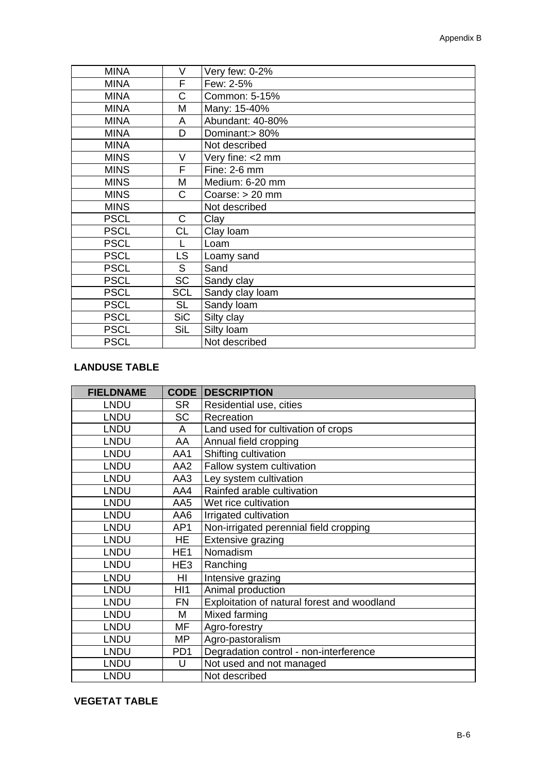| <b>MINA</b> | V          | Very few: 0-2%    |
|-------------|------------|-------------------|
| <b>MINA</b> | F          | Few: 2-5%         |
| <b>MINA</b> | C          | Common: 5-15%     |
| <b>MINA</b> | М          | Many: 15-40%      |
| <b>MINA</b> | A          | Abundant: 40-80%  |
| <b>MINA</b> | D          | Dominant:> 80%    |
| <b>MINA</b> |            | Not described     |
| <b>MINS</b> | V          | Very fine: <2 mm  |
| <b>MINS</b> | F          | Fine: $2-6$ mm    |
| <b>MINS</b> | М          | Medium: 6-20 mm   |
| <b>MINS</b> | C          | Coarse: $> 20$ mm |
| <b>MINS</b> |            | Not described     |
| <b>PSCL</b> | C          | Clay              |
| <b>PSCL</b> | <b>CL</b>  | Clay Ioam         |
| <b>PSCL</b> |            | Loam              |
| <b>PSCL</b> | LS.        | Loamy sand        |
| <b>PSCL</b> | S          | Sand              |
| <b>PSCL</b> | <b>SC</b>  | Sandy clay        |
| <b>PSCL</b> | <b>SCL</b> | Sandy clay loam   |
| <b>PSCL</b> | <b>SL</b>  | Sandy loam        |
| <b>PSCL</b> | <b>SiC</b> | Silty clay        |
| <b>PSCL</b> | SiL        | Silty loam        |
| <b>PSCL</b> |            | Not described     |

### **LANDUSE TABLE**

| <b>FIELDNAME</b> | <b>CODE</b>     | <b>DESCRIPTION</b>                          |
|------------------|-----------------|---------------------------------------------|
| <b>LNDU</b>      | <b>SR</b>       | Residential use, cities                     |
| <b>LNDU</b>      | <b>SC</b>       | Recreation                                  |
| <b>LNDU</b>      | A               | Land used for cultivation of crops          |
| <b>LNDU</b>      | AA              | Annual field cropping                       |
| <b>LNDU</b>      | AA1             | Shifting cultivation                        |
| <b>LNDU</b>      | AA2             | Fallow system cultivation                   |
| <b>LNDU</b>      | AA3             | Ley system cultivation                      |
| <b>LNDU</b>      | AA4             | Rainfed arable cultivation                  |
| <b>LNDU</b>      | AA5             | Wet rice cultivation                        |
| <b>LNDU</b>      | AA6             | Irrigated cultivation                       |
| <b>LNDU</b>      | AP1             | Non-irrigated perennial field cropping      |
| <b>LNDU</b>      | HE              | Extensive grazing                           |
| <b>LNDU</b>      | HE <sub>1</sub> | Nomadism                                    |
| <b>LNDU</b>      | HE <sub>3</sub> | Ranching                                    |
| <b>LNDU</b>      | HI              | Intensive grazing                           |
| <b>LNDU</b>      | H <sub>1</sub>  | Animal production                           |
| <b>LNDU</b>      | FN              | Exploitation of natural forest and woodland |
| <b>LNDU</b>      | M               | Mixed farming                               |
| <b>LNDU</b>      | MF              | Agro-forestry                               |
| <b>LNDU</b>      | MP              | Agro-pastoralism                            |
| <b>LNDU</b>      | PD <sub>1</sub> | Degradation control - non-interference      |
| <b>LNDU</b>      | U               | Not used and not managed                    |
| <b>LNDU</b>      |                 | Not described                               |

### **VEGETAT TABLE**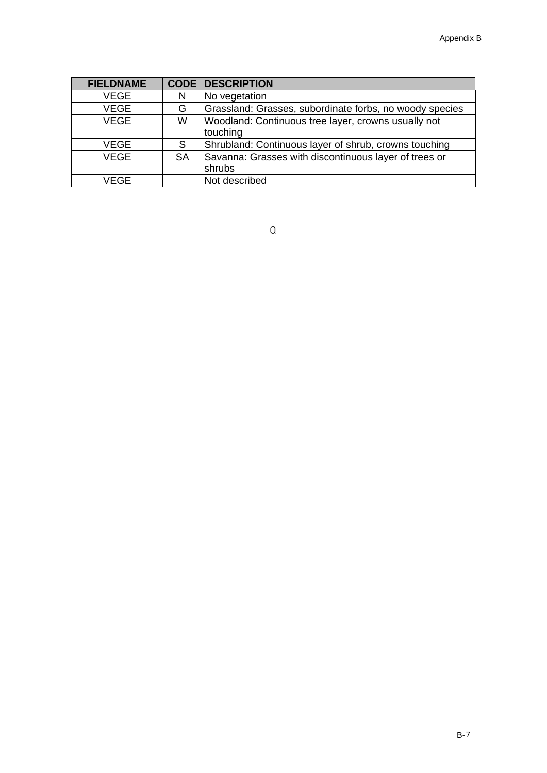| <b>FIELDNAME</b> |           | <b>CODE DESCRIPTION</b>                                 |
|------------------|-----------|---------------------------------------------------------|
| <b>VEGE</b>      | N         | No vegetation                                           |
| <b>VEGE</b>      | G         | Grassland: Grasses, subordinate forbs, no woody species |
| <b>VEGE</b>      | W         | Woodland: Continuous tree layer, crowns usually not     |
|                  |           | touching                                                |
| <b>VEGE</b>      | S         | Shrubland: Continuous layer of shrub, crowns touching   |
| <b>VEGE</b>      | <b>SA</b> | Savanna: Grasses with discontinuous layer of trees or   |
|                  |           | shrubs                                                  |
| <b>VEGE</b>      |           | Not described                                           |

 $\overline{0}$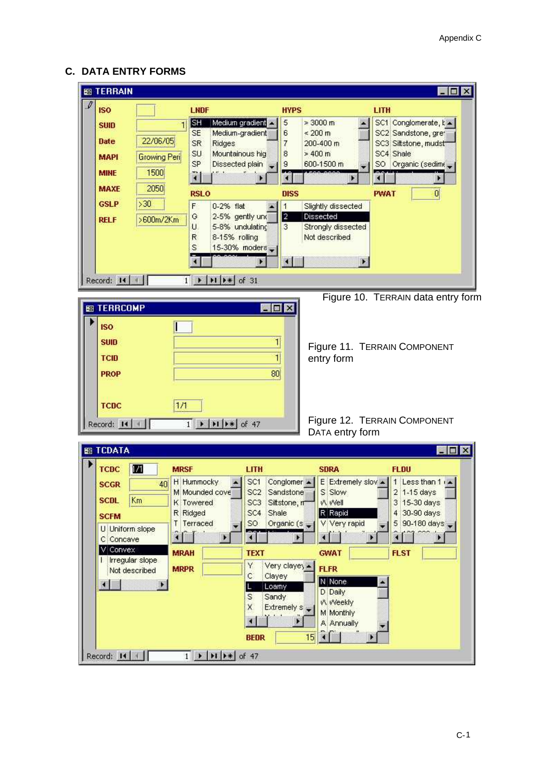### **C. DATA ENTRY FORMS**

| <b>EB TERRAIN</b><br>$\mathscr I$                                                                                 |                                                                                                         |                                                                                                                                |                                                                                                                                                                                                                                                                                                                                     |                                                                                                                                                                             | EOX                                                                                                                                                       |
|-------------------------------------------------------------------------------------------------------------------|---------------------------------------------------------------------------------------------------------|--------------------------------------------------------------------------------------------------------------------------------|-------------------------------------------------------------------------------------------------------------------------------------------------------------------------------------------------------------------------------------------------------------------------------------------------------------------------------------|-----------------------------------------------------------------------------------------------------------------------------------------------------------------------------|-----------------------------------------------------------------------------------------------------------------------------------------------------------|
| <b>ISO</b>                                                                                                        |                                                                                                         | <b>LNDF</b>                                                                                                                    | <b>HYPS</b>                                                                                                                                                                                                                                                                                                                         |                                                                                                                                                                             | LITH                                                                                                                                                      |
| <b>SUID</b><br><b>Date</b><br><b>MAPI</b>                                                                         | $\mathbf{1}$<br>22/06/05<br>Growing Peri                                                                | SH<br>Medium gradient<br>Medium-gradient<br><b>SE</b><br><b>SR</b><br>Ridges<br>Mountainous hig<br>SU<br>SP<br>Dissected plain | 5<br>6<br>7<br>8<br>9                                                                                                                                                                                                                                                                                                               | $\geq 3000 \text{ m}$<br>$\leq 200$ m<br>200-400 m<br>$>400$ m<br>600-1500 m                                                                                                | SC1 Conglomerate, k =<br>SC2 Sandstone, gret<br>SC3 Siltstone, mudst<br>SC4 Shale<br>SO Organic (sedime                                                   |
| <b>MINE</b><br><b>MAXE</b>                                                                                        | 1500<br>2050                                                                                            | 71                                                                                                                             |                                                                                                                                                                                                                                                                                                                                     |                                                                                                                                                                             |                                                                                                                                                           |
| <b>GSLP</b>                                                                                                       | >30                                                                                                     | <b>RSLO</b><br>F<br>0-2% flat                                                                                                  | <b>DISS</b><br>1                                                                                                                                                                                                                                                                                                                    | Slightly dissected                                                                                                                                                          | $\overline{0}$<br><b>PWAT</b>                                                                                                                             |
| <b>RELF</b>                                                                                                       | >600m/2Km                                                                                               | G<br>2-5% gently und<br>U.<br>5-8% undulating<br>8-15% rolling<br>R<br>Ś                                                       | $\overline{2}$<br>3<br>15-30% moders                                                                                                                                                                                                                                                                                                | Dissected<br>Strongly dissected<br>Not described                                                                                                                            |                                                                                                                                                           |
| Record: 14                                                                                                        |                                                                                                         | $1 \rightarrow  H $ $\rightarrow$ of 31                                                                                        |                                                                                                                                                                                                                                                                                                                                     |                                                                                                                                                                             |                                                                                                                                                           |
| <b>B TERRCOMP</b>                                                                                                 |                                                                                                         |                                                                                                                                | <b>SOX</b>                                                                                                                                                                                                                                                                                                                          |                                                                                                                                                                             | Figure 10. TERRAIN data entry form                                                                                                                        |
| <b>ISO</b><br><b>SUID</b><br><b>TCID</b><br><b>PROP</b>                                                           |                                                                                                         |                                                                                                                                | 1<br>$\mathbf{1}$<br>80 <sub>1</sub>                                                                                                                                                                                                                                                                                                | entry form                                                                                                                                                                  | Figure 11. TERRAIN COMPONENT                                                                                                                              |
| TCDC<br>Record: 14                                                                                                | 1/1                                                                                                     | $\blacktriangleright$   $\blacktriangleright$   $\blacktriangleright$ $\neq$   of 47<br>1                                      |                                                                                                                                                                                                                                                                                                                                     | DATA entry form                                                                                                                                                             | Figure 12. TERRAIN COMPONENT                                                                                                                              |
| <b>EB TCDATA</b>                                                                                                  |                                                                                                         |                                                                                                                                |                                                                                                                                                                                                                                                                                                                                     |                                                                                                                                                                             | <b>LOX</b>                                                                                                                                                |
| <b>TCDC</b><br><b>SCGR</b><br><b>SCDL</b><br><b>SCFM</b><br>U Uniform slope<br>C Concave<br>V Convex<br><b>KI</b> | 171<br><b>MRSF</b><br>40<br>Km<br>T<br><b>Irregular slope</b><br>Not described<br>$\blacktriangleright$ | H Hummocky<br>M Mounded cove<br>K Towered<br>R Ridged<br>Terraced<br><b>MRAH</b><br><b>MRPR</b>                                | <b>LITH</b><br>Conglomer ><br>SC <sub>1</sub><br>SC <sub>2</sub><br>Sandstone<br>SC <sub>3</sub><br>Siltstone, m<br>SC4<br>Shale<br>Organic $(s -$<br>SO.<br>ď.<br><b>TEXT</b><br>Y<br>$Very$ claye $\vert \bullet \vert$<br>$\ddot{c}$<br>Clayey<br>Loamy<br>S<br>Sandy<br>X<br>Extremely s<br>$\blacktriangleleft$<br><b>BEDR</b> | <b>SDRA</b><br>S Slow<br>W Well<br>R Rapid<br>V Very rapid<br>$\left($<br><b>GWAT</b><br><b>FLFR</b><br>N None<br>D Daily<br>W Weekly<br>M Monthly<br>٠<br>A Annually<br>15 | <b>FLDU</b><br>E Extremely slov <<br>1 Less than 1 i .<br>2 1-15 days<br>15-30 days<br>3<br>30-90 days<br>4<br>90-180 days<br>5<br>×<br><b>FLST</b><br>Þ. |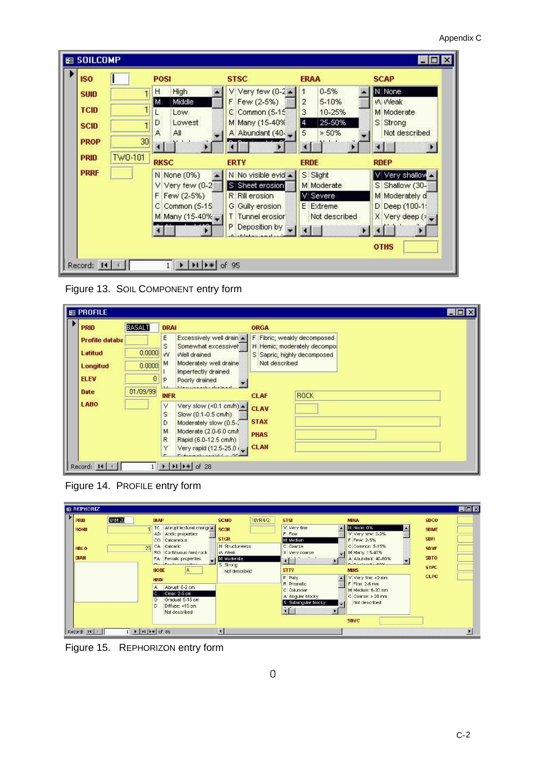| High<br>н<br>Middle-<br>M<br>Low<br>Lowest<br>D.                       | V Very few $(0-2)$<br>F Few (2-5%)<br>C Common (5-15)                                                              | $0 - 5%$<br>5-10%<br>$\overline{2}$                              | N None<br>W Weak                                                                       |
|------------------------------------------------------------------------|--------------------------------------------------------------------------------------------------------------------|------------------------------------------------------------------|----------------------------------------------------------------------------------------|
|                                                                        |                                                                                                                    |                                                                  |                                                                                        |
|                                                                        | M Many (15-40%                                                                                                     | 3<br>10-25%<br>25-50%<br>14                                      | M Moderate<br>S Strong                                                                 |
| All<br>30 <sub>l</sub>                                                 | A Abundant (40-                                                                                                    | 5<br>$> 50\%$                                                    | Not described                                                                          |
| <b>RKSC</b>                                                            | <b>ERTY</b>                                                                                                        | <b>ERDE</b>                                                      | <b>RDEP</b>                                                                            |
| N None (0%)<br>$V$ Very few $(0-2)$<br>F Few (2-5%)<br>C Common (5-15) | N No visible evid ▲<br>S Sheet erosion<br>R Rill erosion<br>G Gully erosion<br>T Tunnel erosion<br>P Deposition by | S Slight<br>M Moderate<br>V Severe<br>E Extreme<br>Not described | V Very shallow<br>S Shallow (30-<br>M Moderately d<br>D Deep (100-1:<br>X Very deep (> |
|                                                                        |                                                                                                                    | M Many (15-40% _ I                                               |                                                                                        |

Figure 13. SOIL COMPONENT entry form

| <b>PRID</b>           | <b>BASALT</b> | <b>DRAI</b>                                                                                                                                                                                                                                                                                       | <b>ORGA</b>                                                 |
|-----------------------|---------------|---------------------------------------------------------------------------------------------------------------------------------------------------------------------------------------------------------------------------------------------------------------------------------------------------|-------------------------------------------------------------|
| <b>Profile databa</b> |               | E                                                                                                                                                                                                                                                                                                 | Excessively well drain A F Fibric; weakly decomposed        |
| Latitud               | 0.0000        | S<br>Somewhat excessivel<br>W<br>Well drained                                                                                                                                                                                                                                                     | H Hemic; moderately decompo:<br>S Sapric; highly decomposed |
| Longitud              | $0.0000$ M    | Moderately well draine                                                                                                                                                                                                                                                                            | Not described                                               |
| <b>ELEV</b>           | 0             | Imperfectly drained<br>Poorly drained<br>P                                                                                                                                                                                                                                                        |                                                             |
| <b>Date</b>           | 01/09/99      | composition domining<br><b>INFR</b>                                                                                                                                                                                                                                                               | <b>ROCK</b><br><b>CLAF</b>                                  |
| LABO                  |               | Very slow $(\le 0.1 \text{ cm/h})$ $\triangle$<br>V<br>S<br>Slow (0.1-0.5 cm/h)<br>D<br>Moderately slow (0.5-2<br>Moderate (2.0-6.0 cm/<br>M<br>$\mathbb{R}$<br>Rapid (6.0-12.5 cm/h)<br>Y<br>Very rapid (12.5-25.0 (<br>$L_{\text{shannon}}$ also applied $L_{\text{in}}$ $\Delta L_{\text{in}}$ | <b>CLAV</b><br><b>STAX</b><br><b>PHAS</b><br><b>CLAN</b>    |

Figure 14. PROFILE entry form

| <b>BR REPHORIZ</b>                                |               |                                                                                                                                                                                             |                                                                                              |         |                                                                                                                                         |                                                                                                                                                      |                                                                         | EDX |
|---------------------------------------------------|---------------|---------------------------------------------------------------------------------------------------------------------------------------------------------------------------------------------|----------------------------------------------------------------------------------------------|---------|-----------------------------------------------------------------------------------------------------------------------------------------|------------------------------------------------------------------------------------------------------------------------------------------------------|-------------------------------------------------------------------------|-----|
| <b>PRID</b><br><b>HONU</b><br><b>HBLO</b><br>DIAH | <b>NAM-20</b> | <b>DIAP</b><br>TC.<br>Abrupt textural change<br>AD<br>Andic properties<br>$\circ$<br>Calcareous<br>Calcaric<br><b>CA</b><br>23<br>Continuous hard rock<br>RO.<br>FA.<br>Ferralic properties | <b>SCMO</b><br><b>SCDR</b><br><b>STGR</b><br>N Structureless<br><b>VA</b> Weak<br>M Moderate | 10YR4/2 | <b>STSI</b><br>V Very fine<br>F Fine<br>M Medium<br>C Coarse<br>X Very coarse<br>$\blacksquare$                                         | <b>MINA</b><br>N None: 0%<br>×<br>V Very few: 0-2%<br>F Few: 2-5%<br>C Common: 5-15%<br>M Many: 15-40%<br>A Abundant: 40-80%                         | <b>SDCO</b><br><b>SDME</b><br><b>SDFI</b><br><b>SDVF</b><br><b>SDTO</b> |     |
|                                                   |               | Family modernation<br><b>I</b> FILE<br>A<br><b>HODE</b><br><b>HBDI</b><br>Abrupt: 0-2 cm<br>A<br>Clear: 2-5 cm<br>Gradual: 5-15 cm<br>G<br>D<br>Diffuse: =15 cm<br>Not described            | S Strong<br>Not described                                                                    |         | <b>STTY</b><br>P Platy<br>R Prismatic<br>C Columnar<br>A Angular blocky<br>S Subangular blocky<br>$\mathbf{H}$<br>$\blacktriangleright$ | D. Development COOK<br><b>MINS</b><br>V Very fine: <2 mm<br>F Fine: 2-6 mm<br>M Medium: 6-20 mm<br>C Coarse: > 20 mm<br>Not described<br><b>SDVC</b> | <b>STPC</b><br><b>CLPC</b>                                              |     |
| Record: 14                                        |               | $\triangleright$   $\triangleright$   $\triangleright$ *   of 86                                                                                                                            | 图                                                                                            |         |                                                                                                                                         |                                                                                                                                                      |                                                                         |     |

Figure 15. REPHORIZON entry form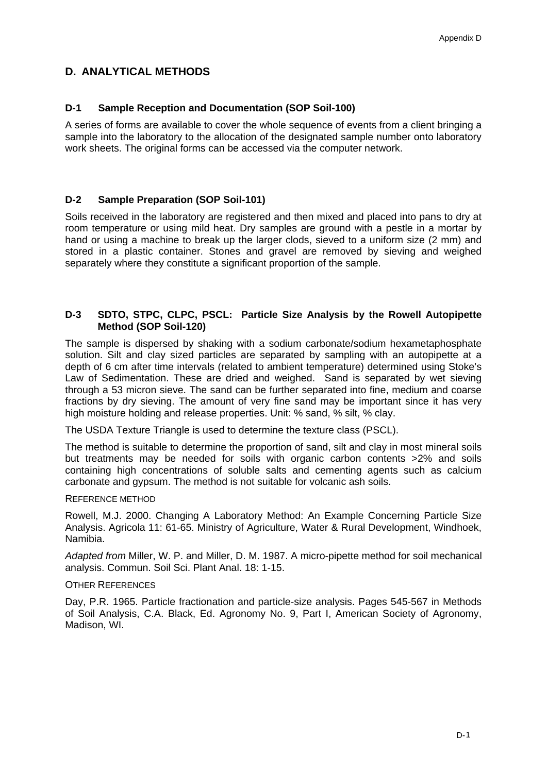### **D. ANALYTICAL METHODS**

### **D-1 Sample Reception and Documentation (SOP Soil-100)**

A series of forms are available to cover the whole sequence of events from a client bringing a sample into the laboratory to the allocation of the designated sample number onto laboratory work sheets. The original forms can be accessed via the computer network.

### **D-2 Sample Preparation (SOP Soil-101)**

Soils received in the laboratory are registered and then mixed and placed into pans to dry at room temperature or using mild heat. Dry samples are ground with a pestle in a mortar by hand or using a machine to break up the larger clods, sieved to a uniform size (2 mm) and stored in a plastic container. Stones and gravel are removed by sieving and weighed separately where they constitute a significant proportion of the sample.

### **D-3 SDTO, STPC, CLPC, PSCL: Particle Size Analysis by the Rowell Autopipette Method (SOP Soil-120)**

The sample is dispersed by shaking with a sodium carbonate/sodium hexametaphosphate solution. Silt and clay sized particles are separated by sampling with an autopipette at a depth of 6 cm after time intervals (related to ambient temperature) determined using Stoke's Law of Sedimentation. These are dried and weighed. Sand is separated by wet sieving through a 53 micron sieve. The sand can be further separated into fine, medium and coarse fractions by dry sieving. The amount of very fine sand may be important since it has very high moisture holding and release properties. Unit: % sand, % silt, % clay.

The USDA Texture Triangle is used to determine the texture class (PSCL).

The method is suitable to determine the proportion of sand, silt and clay in most mineral soils but treatments may be needed for soils with organic carbon contents >2% and soils containing high concentrations of soluble salts and cementing agents such as calcium carbonate and gypsum. The method is not suitable for volcanic ash soils.

### REFERENCE METHOD

Rowell, M.J. 2000. Changing A Laboratory Method: An Example Concerning Particle Size Analysis. Agricola 11: 61-65. Ministry of Agriculture, Water & Rural Development, Windhoek, Namibia.

*Adapted from* Miller, W. P. and Miller, D. M. 1987. A micro-pipette method for soil mechanical analysis. Commun. Soil Sci. Plant Anal. 18: 1-15.

### OTHER REFERENCES

Day, P.R. 1965. Particle fractionation and particle-size analysis. Pages 545-567 in Methods of Soil Analysis, C.A. Black, Ed. Agronomy No. 9, Part I, American Society of Agronomy, Madison, WI.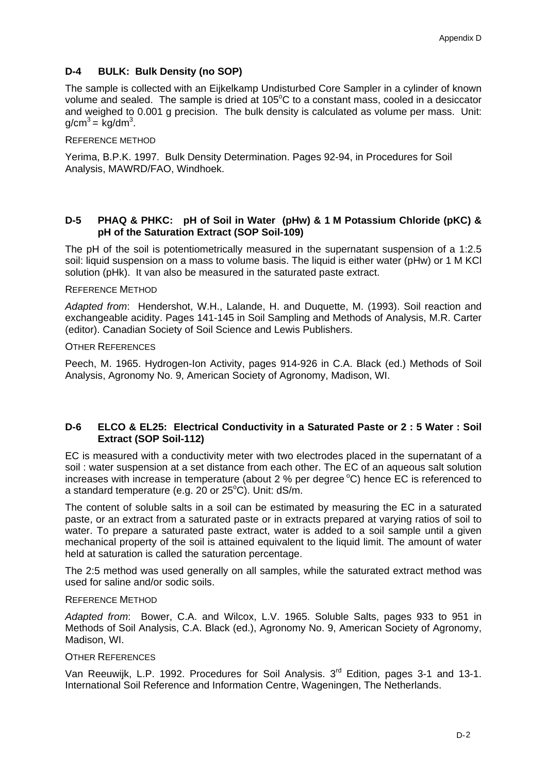### **D-4 BULK: Bulk Density (no SOP)**

The sample is collected with an Eijkelkamp Undisturbed Core Sampler in a cylinder of known volume and sealed. The sample is dried at 105°C to a constant mass, cooled in a desiccator and weighed to 0.001 g precision. The bulk density is calculated as volume per mass. Unit:  $g/cm^3 = kg/dm^3$ .

### REFERENCE METHOD

Yerima, B.P.K. 1997. Bulk Density Determination. Pages 92-94, in Procedures for Soil Analysis, MAWRD/FAO, Windhoek.

### **D-5 PHAQ & PHKC: pH of Soil in Water (pHw) & 1 M Potassium Chloride (pKC) & pH of the Saturation Extract (SOP Soil-109)**

The pH of the soil is potentiometrically measured in the supernatant suspension of a 1:2.5 soil: liquid suspension on a mass to volume basis. The liquid is either water (pHw) or 1 M KCl solution (pHk). It van also be measured in the saturated paste extract.

### REFERENCE METHOD

*Adapted from*: Hendershot, W.H., Lalande, H. and Duquette, M. (1993). Soil reaction and exchangeable acidity. Pages 141-145 in Soil Sampling and Methods of Analysis, M.R. Carter (editor). Canadian Society of Soil Science and Lewis Publishers.

### OTHER REFERENCES

Peech, M. 1965. Hydrogen-Ion Activity, pages 914-926 in C.A. Black (ed.) Methods of Soil Analysis, Agronomy No. 9, American Society of Agronomy, Madison, WI.

### **D-6 ELCO & EL25: Electrical Conductivity in a Saturated Paste or 2 : 5 Water : Soil Extract (SOP Soil-112)**

EC is measured with a conductivity meter with two electrodes placed in the supernatant of a soil : water suspension at a set distance from each other. The EC of an aqueous salt solution increases with increase in temperature (about  $2\%$  per degree  $^{\circ}$ C) hence EC is referenced to a standard temperature (e.g. 20 or  $25^{\circ}$ C). Unit: dS/m.

The content of soluble salts in a soil can be estimated by measuring the EC in a saturated paste, or an extract from a saturated paste or in extracts prepared at varying ratios of soil to water. To prepare a saturated paste extract, water is added to a soil sample until a given mechanical property of the soil is attained equivalent to the liquid limit. The amount of water held at saturation is called the saturation percentage.

The 2:5 method was used generally on all samples, while the saturated extract method was used for saline and/or sodic soils.

### REFERENCE METHOD

*Adapted from*: Bower, C.A. and Wilcox, L.V. 1965. Soluble Salts, pages 933 to 951 in Methods of Soil Analysis, C.A. Black (ed.), Agronomy No. 9, American Society of Agronomy, Madison, WI.

### OTHER REFERENCES

Van Reeuwijk, L.P. 1992. Procedures for Soil Analysis. 3<sup>rd</sup> Edition, pages 3-1 and 13-1. International Soil Reference and Information Centre, Wageningen, The Netherlands.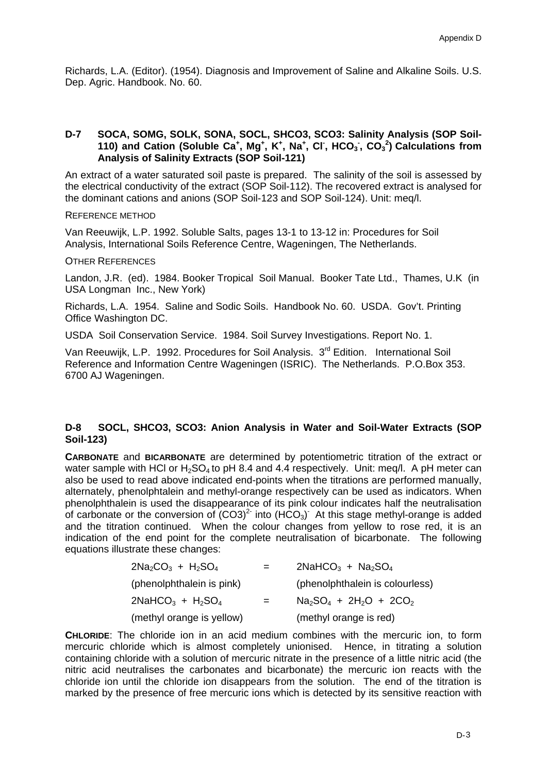Richards, L.A. (Editor). (1954). Diagnosis and Improvement of Saline and Alkaline Soils. U.S. Dep. Agric. Handbook. No. 60.

### **D-7 SOCA, SOMG, SOLK, SONA, SOCL, SHCO3, SCO3: Salinity Analysis (SOP Soil-110) and Cation (Soluble Ca<sup>+</sup>, Mg<sup>+</sup>, K<sup>+</sup>, Na<sup>+</sup>, Cl<sup>-</sup>, HCO<sub>3</sub></sub>, CO<sub>3</sub><sup>2</sup>) Calculations from Analysis of Salinity Extracts (SOP Soil-121)**

An extract of a water saturated soil paste is prepared. The salinity of the soil is assessed by the electrical conductivity of the extract (SOP Soil-112). The recovered extract is analysed for the dominant cations and anions (SOP Soil-123 and SOP Soil-124). Unit: meq/l.

REFERENCE METHOD

Van Reeuwijk, L.P. 1992. Soluble Salts, pages 13-1 to 13-12 in: Procedures for Soil Analysis, International Soils Reference Centre, Wageningen, The Netherlands.

### OTHER REFERENCES

Landon, J.R. (ed). 1984. Booker Tropical Soil Manual. Booker Tate Ltd., Thames, U.K (in USA Longman Inc., New York)

Richards, L.A. 1954. Saline and Sodic Soils. Handbook No. 60. USDA. Gov't. Printing Office Washington DC.

USDA Soil Conservation Service. 1984. Soil Survey Investigations. Report No. 1.

Van Reeuwijk, L.P. 1992. Procedures for Soil Analysis. 3<sup>rd</sup> Edition. International Soil Reference and Information Centre Wageningen (ISRIC). The Netherlands. P.O.Box 353. 6700 AJ Wageningen.

### **D-8 SOCL, SHCO3, SCO3: Anion Analysis in Water and Soil-Water Extracts (SOP Soil-123)**

**CARBONATE** and **BICARBONATE** are determined by potentiometric titration of the extract or water sample with HCl or  $H_2SO_4$  to pH 8.4 and 4.4 respectively. Unit: meg/l. A pH meter can also be used to read above indicated end-points when the titrations are performed manually, alternately, phenolphtalein and methyl-orange respectively can be used as indicators. When phenolphthalein is used the disappearance of its pink colour indicates half the neutralisation of carbonate or the conversion of  $(CO3)^2$  into  $(HCO<sub>3</sub>)$ . At this stage methyl-orange is added and the titration continued. When the colour changes from yellow to rose red, it is an indication of the end point for the complete neutralisation of bicarbonate. The following equations illustrate these changes:

| $2Na_2CO_3 + H_2SO_4$     | $=$ | $2$ NaHCO <sub>3</sub> + Na <sub>2</sub> SO <sub>4</sub> |
|---------------------------|-----|----------------------------------------------------------|
| (phenolphthalein is pink) |     | (phenolphthalein is colourless)                          |
| $2NAHCO3 + H2SO4$         | $=$ | $Na2SO4 + 2H2O + 2CO2$                                   |
| (methyl orange is yellow) |     | (methyl orange is red)                                   |

**CHLORIDE**: The chloride ion in an acid medium combines with the mercuric ion, to form mercuric chloride which is almost completely unionised. Hence, in titrating a solution containing chloride with a solution of mercuric nitrate in the presence of a little nitric acid (the nitric acid neutralises the carbonates and bicarbonate) the mercuric ion reacts with the chloride ion until the chloride ion disappears from the solution. The end of the titration is marked by the presence of free mercuric ions which is detected by its sensitive reaction with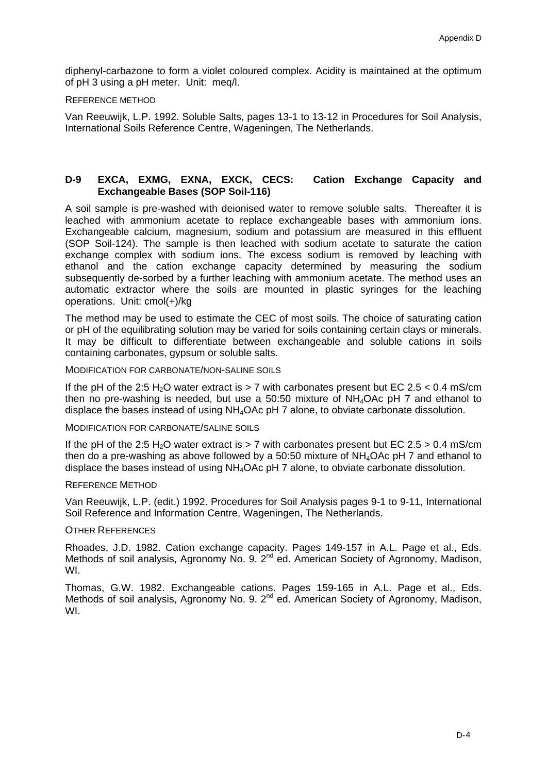diphenyl-carbazone to form a violet coloured complex. Acidity is maintained at the optimum of pH 3 using a pH meter. Unit: meq/l.

### REFERENCE METHOD

Van Reeuwijk, L.P. 1992. Soluble Salts, pages 13-1 to 13-12 in Procedures for Soil Analysis, International Soils Reference Centre, Wageningen, The Netherlands.

### **D-9 EXCA, EXMG, EXNA, EXCK, CECS: Cation Exchange Capacity and Exchangeable Bases (SOP Soil-116)**

A soil sample is pre-washed with deionised water to remove soluble salts. Thereafter it is leached with ammonium acetate to replace exchangeable bases with ammonium ions. Exchangeable calcium, magnesium, sodium and potassium are measured in this effluent (SOP Soil-124). The sample is then leached with sodium acetate to saturate the cation exchange complex with sodium ions. The excess sodium is removed by leaching with ethanol and the cation exchange capacity determined by measuring the sodium subsequently de-sorbed by a further leaching with ammonium acetate. The method uses an automatic extractor where the soils are mounted in plastic syringes for the leaching operations. Unit: cmol(+)/kg

The method may be used to estimate the CEC of most soils. The choice of saturating cation or pH of the equilibrating solution may be varied for soils containing certain clays or minerals. It may be difficult to differentiate between exchangeable and soluble cations in soils containing carbonates, gypsum or soluble salts.

MODIFICATION FOR CARBONATE/NON-SALINE SOILS

If the pH of the 2:5 H<sub>2</sub>O water extract is  $> 7$  with carbonates present but EC 2.5 < 0.4 mS/cm then no pre-washing is needed, but use a 50:50 mixture of  $NH<sub>4</sub>OAC$  pH 7 and ethanol to displace the bases instead of using NH4OAc pH 7 alone, to obviate carbonate dissolution.

MODIFICATION FOR CARBONATE/SALINE SOILS

If the pH of the 2:5 H<sub>2</sub>O water extract is  $> 7$  with carbonates present but EC 2.5  $> 0.4$  mS/cm then do a pre-washing as above followed by a 50:50 mixture of NH4OAc pH 7 and ethanol to displace the bases instead of using NH4OAc pH 7 alone, to obviate carbonate dissolution.

### REFERENCE METHOD

Van Reeuwijk, L.P. (edit.) 1992. Procedures for Soil Analysis pages 9-1 to 9-11, International Soil Reference and Information Centre, Wageningen, The Netherlands.

### OTHER REFERENCES

Rhoades, J.D. 1982. Cation exchange capacity. Pages 149-157 in A.L. Page et al., Eds. Methods of soil analysis, Agronomy No. 9. 2<sup>nd</sup> ed. American Society of Agronomy, Madison, WI.

Thomas, G.W. 1982. Exchangeable cations. Pages 159-165 in A.L. Page et al., Eds. Methods of soil analysis, Agronomy No. 9. 2<sup>nd</sup> ed. American Society of Agronomy, Madison, WI.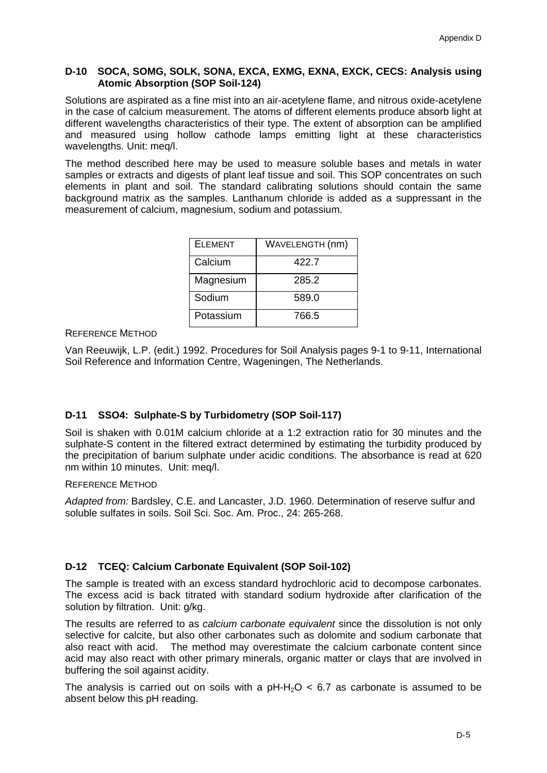### **D-10 SOCA, SOMG, SOLK, SONA, EXCA, EXMG, EXNA, EXCK, CECS: Analysis using Atomic Absorption (SOP Soil-124)**

Solutions are aspirated as a fine mist into an air-acetylene flame, and nitrous oxide-acetylene in the case of calcium measurement. The atoms of different elements produce absorb light at different wavelengths characteristics of their type. The extent of absorption can be amplified and measured using hollow cathode lamps emitting light at these characteristics wavelengths. Unit: meg/l.

The method described here may be used to measure soluble bases and metals in water samples or extracts and digests of plant leaf tissue and soil. This SOP concentrates on such elements in plant and soil. The standard calibrating solutions should contain the same background matrix as the samples. Lanthanum chloride is added as a suppressant in the measurement of calcium, magnesium, sodium and potassium.

| <b>ELEMENT</b> | WAVELENGTH (nm) |
|----------------|-----------------|
| Calcium        | 422.7           |
| Magnesium      | 285.2           |
| Sodium         | 589.0           |
| Potassium      | 766.5           |

### REFERENCE METHOD

Van Reeuwijk, L.P. (edit.) 1992. Procedures for Soil Analysis pages 9-1 to 9-11, International Soil Reference and Information Centre, Wageningen, The Netherlands.

### **D-11 SSO4: Sulphate-S by Turbidometry (SOP Soil-117)**

Soil is shaken with 0.01M calcium chloride at a 1:2 extraction ratio for 30 minutes and the sulphate-S content in the filtered extract determined by estimating the turbidity produced by the precipitation of barium sulphate under acidic conditions. The absorbance is read at 620 nm within 10 minutes. Unit: meq/l.

### REFERENCE METHOD

*Adapted from:* Bardsley, C.E. and Lancaster, J.D. 1960. Determination of reserve sulfur and soluble sulfates in soils. Soil Sci. Soc. Am. Proc., 24: 265-268.

### **D-12 TCEQ: Calcium Carbonate Equivalent (SOP Soil-102)**

The sample is treated with an excess standard hydrochloric acid to decompose carbonates. The excess acid is back titrated with standard sodium hydroxide after clarification of the solution by filtration. Unit: g/kg.

The results are referred to as *calcium carbonate equivalent* since the dissolution is not only selective for calcite, but also other carbonates such as dolomite and sodium carbonate that also react with acid. The method may overestimate the calcium carbonate content since acid may also react with other primary minerals, organic matter or clays that are involved in buffering the soil against acidity.

The analysis is carried out on soils with a  $pH-H<sub>2</sub>O < 6.7$  as carbonate is assumed to be absent below this pH reading.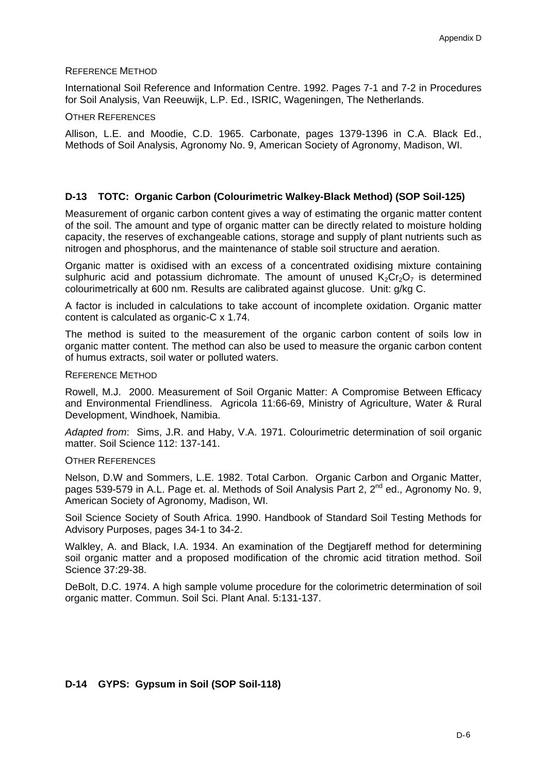### REFERENCE METHOD

International Soil Reference and Information Centre. 1992. Pages 7-1 and 7-2 in Procedures for Soil Analysis, Van Reeuwijk, L.P. Ed., ISRIC, Wageningen, The Netherlands.

### OTHER REFERENCES

Allison, L.E. and Moodie, C.D. 1965. Carbonate, pages 1379-1396 in C.A. Black Ed., Methods of Soil Analysis, Agronomy No. 9, American Society of Agronomy, Madison, WI.

### **D-13 TOTC: Organic Carbon (Colourimetric Walkey-Black Method) (SOP Soil-125)**

Measurement of organic carbon content gives a way of estimating the organic matter content of the soil. The amount and type of organic matter can be directly related to moisture holding capacity, the reserves of exchangeable cations, storage and supply of plant nutrients such as nitrogen and phosphorus, and the maintenance of stable soil structure and aeration.

Organic matter is oxidised with an excess of a concentrated oxidising mixture containing sulphuric acid and potassium dichromate. The amount of unused  $K_2Cr_2O_7$  is determined colourimetrically at 600 nm. Results are calibrated against glucose. Unit: g/kg C.

A factor is included in calculations to take account of incomplete oxidation. Organic matter content is calculated as organic-C x 1.74.

The method is suited to the measurement of the organic carbon content of soils low in organic matter content. The method can also be used to measure the organic carbon content of humus extracts, soil water or polluted waters.

#### REFERENCE METHOD

Rowell, M.J. 2000. Measurement of Soil Organic Matter: A Compromise Between Efficacy and Environmental Friendliness. Agricola 11:66-69, Ministry of Agriculture, Water & Rural Development, Windhoek, Namibia.

*Adapted from*: Sims, J.R. and Haby, V.A. 1971. Colourimetric determination of soil organic matter. Soil Science 112: 137-141.

### OTHER REFERENCES

Nelson, D.W and Sommers, L.E. 1982. Total Carbon. Organic Carbon and Organic Matter, pages 539-579 in A.L. Page et. al. Methods of Soil Analysis Part 2, 2<sup>nd</sup> ed., Agronomy No. 9, American Society of Agronomy, Madison, WI.

Soil Science Society of South Africa. 1990. Handbook of Standard Soil Testing Methods for Advisory Purposes, pages 34-1 to 34-2.

Walkley, A. and Black, I.A. 1934. An examination of the Degtjareff method for determining soil organic matter and a proposed modification of the chromic acid titration method. Soil Science 37:29-38.

DeBolt, D.C. 1974. A high sample volume procedure for the colorimetric determination of soil organic matter. Commun. Soil Sci. Plant Anal. 5:131-137.

### **D-14 GYPS: Gypsum in Soil (SOP Soil-118)**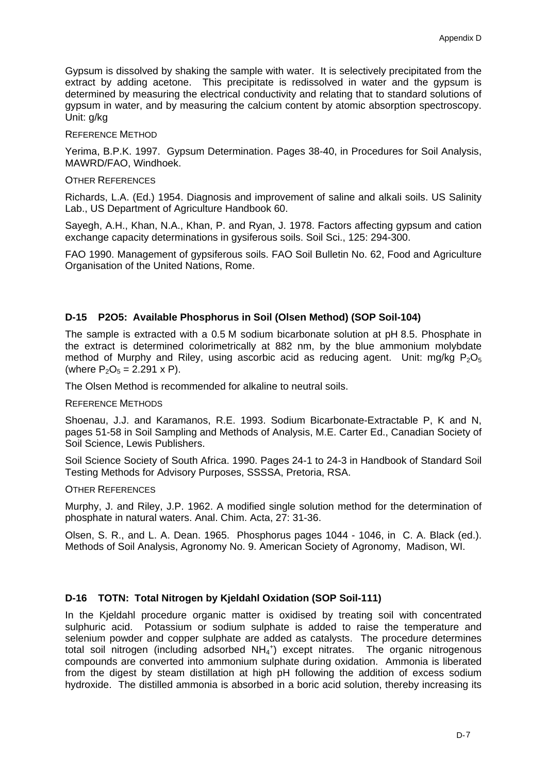Gypsum is dissolved by shaking the sample with water. It is selectively precipitated from the extract by adding acetone. This precipitate is redissolved in water and the gypsum is determined by measuring the electrical conductivity and relating that to standard solutions of gypsum in water, and by measuring the calcium content by atomic absorption spectroscopy. Unit: g/kg

### REFERENCE METHOD

Yerima, B.P.K. 1997. Gypsum Determination. Pages 38-40, in Procedures for Soil Analysis, MAWRD/FAO, Windhoek.

### OTHER REFERENCES

Richards, L.A. (Ed.) 1954. Diagnosis and improvement of saline and alkali soils. US Salinity Lab., US Department of Agriculture Handbook 60.

Sayegh, A.H., Khan, N.A., Khan, P. and Ryan, J. 1978. Factors affecting gypsum and cation exchange capacity determinations in gysiferous soils. Soil Sci., 125: 294-300.

FAO 1990. Management of gypsiferous soils. FAO Soil Bulletin No. 62, Food and Agriculture Organisation of the United Nations, Rome.

### **D-15 P2O5: Available Phosphorus in Soil (Olsen Method) (SOP Soil-104)**

The sample is extracted with a 0.5 M sodium bicarbonate solution at pH 8.5. Phosphate in the extract is determined colorimetrically at 882 nm, by the blue ammonium molybdate method of Murphy and Riley, using ascorbic acid as reducing agent. Unit:  $ma/ka P<sub>2</sub>O<sub>5</sub>$ (where  $P_2O_5 = 2.291 \times P$ ).

The Olsen Method is recommended for alkaline to neutral soils.

### REFERENCE METHODS

Shoenau, J.J. and Karamanos, R.E. 1993. Sodium Bicarbonate-Extractable P, K and N, pages 51-58 in Soil Sampling and Methods of Analysis, M.E. Carter Ed., Canadian Society of Soil Science, Lewis Publishers.

Soil Science Society of South Africa. 1990. Pages 24-1 to 24-3 in Handbook of Standard Soil Testing Methods for Advisory Purposes, SSSSA, Pretoria, RSA.

### OTHER REFERENCES

Murphy, J. and Riley, J.P. 1962. A modified single solution method for the determination of phosphate in natural waters. Anal. Chim. Acta, 27: 31-36.

Olsen, S. R., and L. A. Dean. 1965. Phosphorus pages 1044 - 1046, in C. A. Black (ed.). Methods of Soil Analysis, Agronomy No. 9. American Society of Agronomy, Madison, WI.

### **D-16 TOTN: Total Nitrogen by Kjeldahl Oxidation (SOP Soil-111)**

In the Kjeldahl procedure organic matter is oxidised by treating soil with concentrated sulphuric acid. Potassium or sodium sulphate is added to raise the temperature and selenium powder and copper sulphate are added as catalysts. The procedure determines total soil nitrogen (including adsorbed  $NH_4^+$ ) except nitrates. The organic nitrogenous compounds are converted into ammonium sulphate during oxidation. Ammonia is liberated from the digest by steam distillation at high pH following the addition of excess sodium hydroxide. The distilled ammonia is absorbed in a boric acid solution, thereby increasing its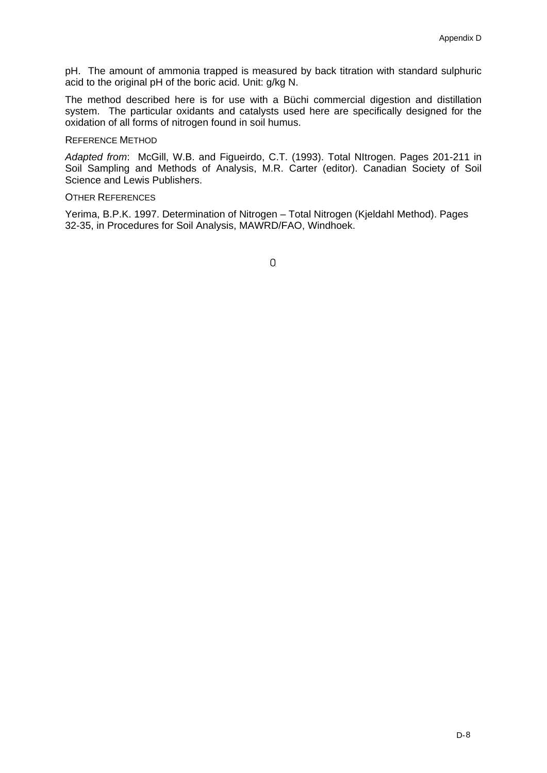pH. The amount of ammonia trapped is measured by back titration with standard sulphuric acid to the original pH of the boric acid. Unit: g/kg N.

The method described here is for use with a Büchi commercial digestion and distillation system. The particular oxidants and catalysts used here are specifically designed for the oxidation of all forms of nitrogen found in soil humus.

#### REFERENCE METHOD

*Adapted from*: McGill, W.B. and Figueirdo, C.T. (1993). Total NItrogen. Pages 201-211 in Soil Sampling and Methods of Analysis, M.R. Carter (editor). Canadian Society of Soil Science and Lewis Publishers.

### OTHER REFERENCES

Yerima, B.P.K. 1997. Determination of Nitrogen – Total Nitrogen (Kjeldahl Method). Pages 32-35, in Procedures for Soil Analysis, MAWRD/FAO, Windhoek.

 $\mathbf{0}$